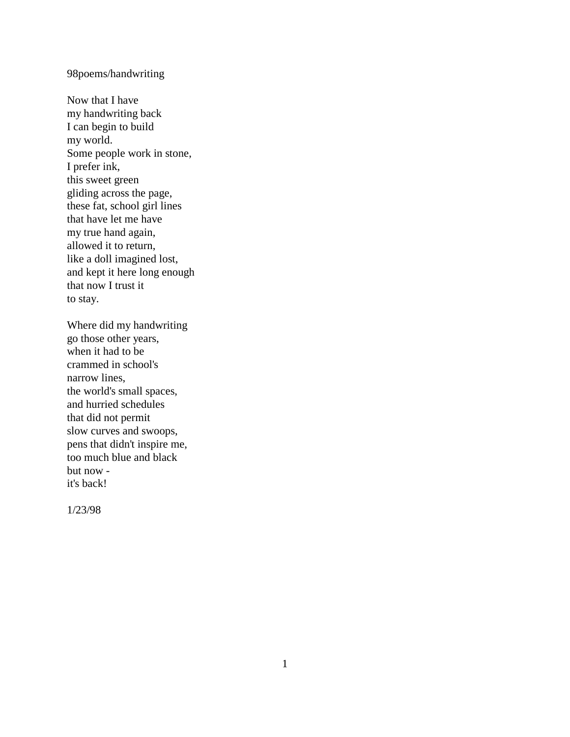## 98poems/handwriting

Now that I have my handwriting back I can begin to build my world. Some people work in stone, I prefer ink, this sweet green gliding across the page, these fat, school girl lines that have let me have my true hand again, allowed it to return, like a doll imagined lost, and kept it here long enough that now I trust it to stay.

Where did my handwriting go those other years, when it had to be crammed in school's narrow lines, the world's small spaces, and hurried schedules that did not permit slow curves and swoops, pens that didn't inspire me, too much blue and black but now it's back!

1/23/98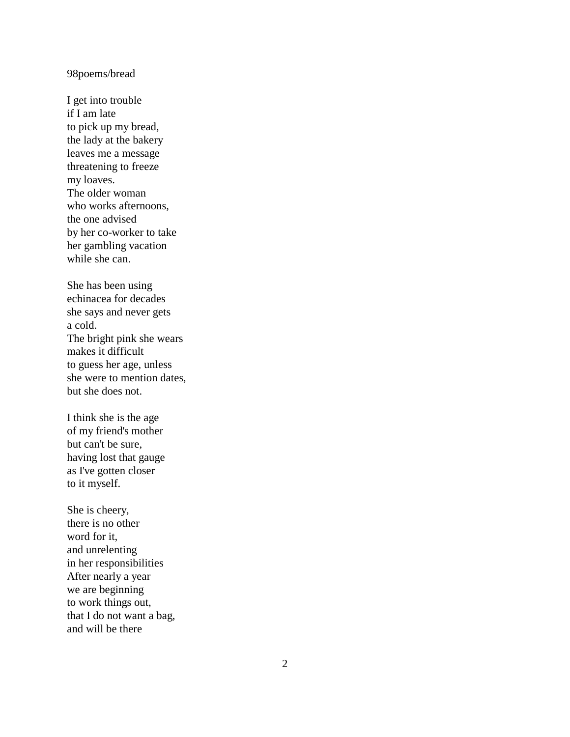#### 98poems/bread

I get into trouble if I am late to pick up my bread, the lady at the bakery leaves me a message threatening to freeze my loaves. The older woman who works afternoons, the one advised by her co -worker to take her gambling vacation while she can.

She has been using echinacea for decades she says and never gets a cold. The bright pink she wears makes it difficult to guess her age, unless she were to mention dates, but she does not.

I think she is the age of my friend's mother but can't be sure, having lost that gauge as I've gotten closer to it myself.

She is cheery, there is no other word for it, and unrelenting in her responsibilities After nearly a year we are beginning to work things out, that I do not want a bag, and will be there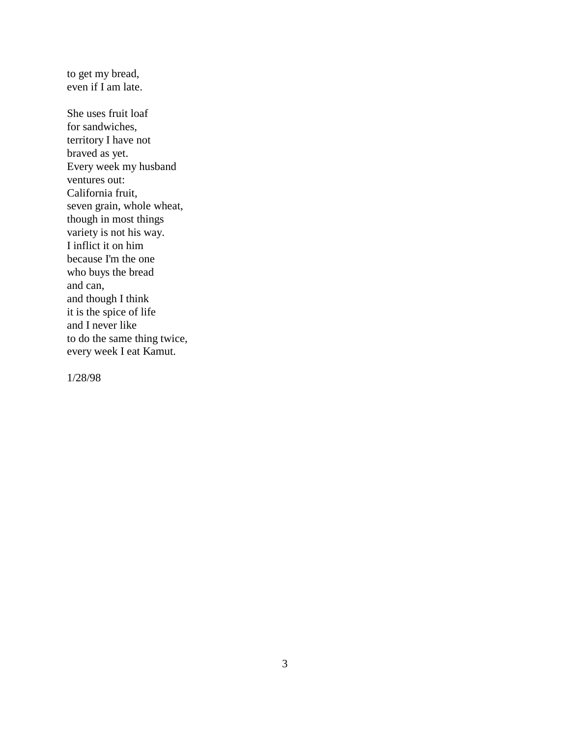to get my bread, even if I am late.

She uses fruit loaf for sandwiches, territory I have not braved as yet. Every week my husband ventures out: California fruit, seven grain, whole wheat, though in most things variety is not his way. I inflict it on him because I'm the one who buys the bread and can, and though I think it is the spice of life and I never like to do the same thing twice, every week I eat Kamut.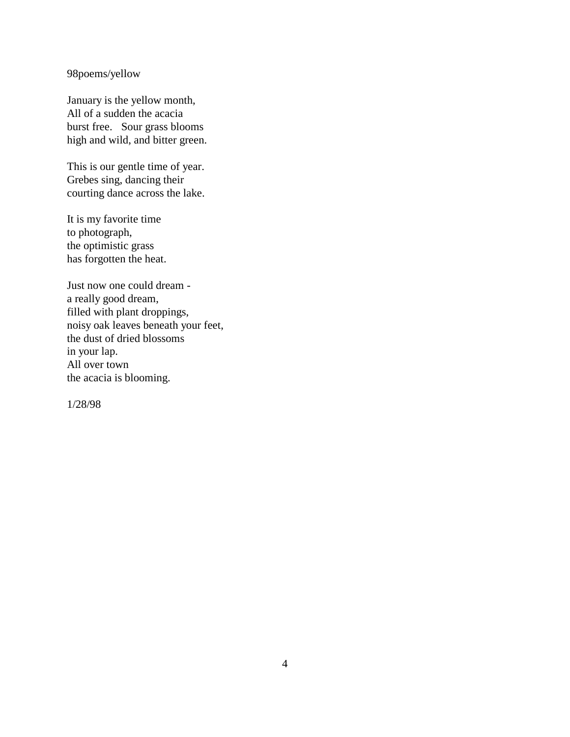98poems/yellow

January is the yellow month, All of a sudden the acacia burst free. Sour grass blooms high and wild, and bitter green.

This is our gentle time of year. Grebes sing, dancing their courting dance across the lake.

It is my favorite time to photograph, the optimistic grass has forgotten the heat.

Just now one could dream a really good dream, filled with plant droppings, noisy oak leaves beneath your feet, the dust of dried blossoms in your lap. All over town the acacia is blooming.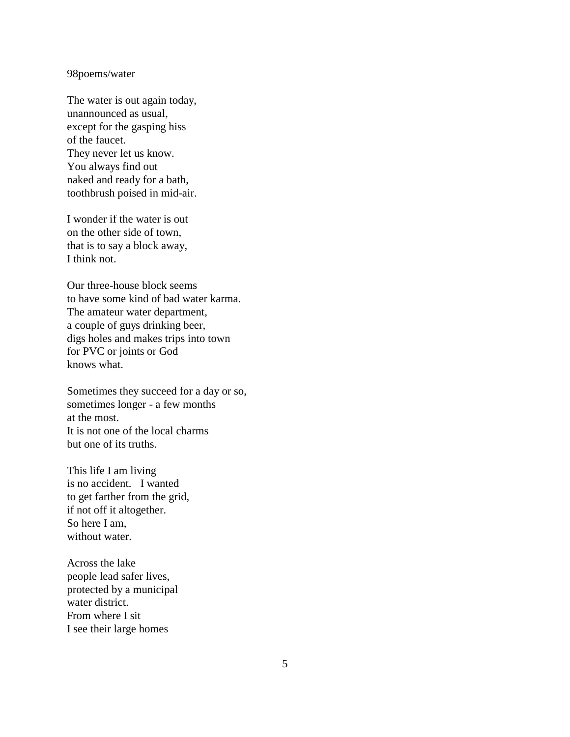#### 98poems/water

The water is out again today, unannounced as usual, except for the gasping hiss of the faucet. They never let us know. You always find out naked and ready for a bath, toothbrush poised in mid-air.

I wonder if the water is out on the other side of town, that is to say a block away, I think not.

Our three-house block seems to have some kind of bad water karma. The amateur water department, a couple of guys drinking beer, digs holes and makes trips into town for PVC or joints or God knows what.

Sometimes they succeed for a day or so, sometimes longer - a few months at the most. It is not one of the local charms but one of its truths.

This life I am living is no accident. I wanted to get farther from the grid, if not off it altogether. So here I am, without water.

Across the lake people lead safer lives, protected by a municipal water district. From where I sit I see their large homes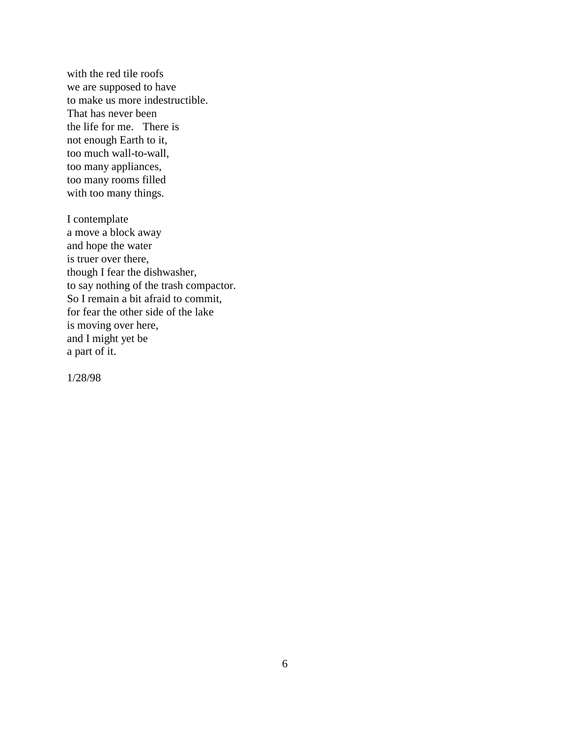with the red tile roofs we are supposed to have to make us more indestructible. That has never been the life for me. There is not enough Earth to it, too much wall-to-wall, too many appliances, too many rooms filled with too many things.

I contemplate a move a block away and hope the water is truer over there, though I fear the dishwasher, to say nothing of the trash compactor. So I remain a bit afraid to commit, for fear the other side of the lake is moving over here, and I might yet be a part of it.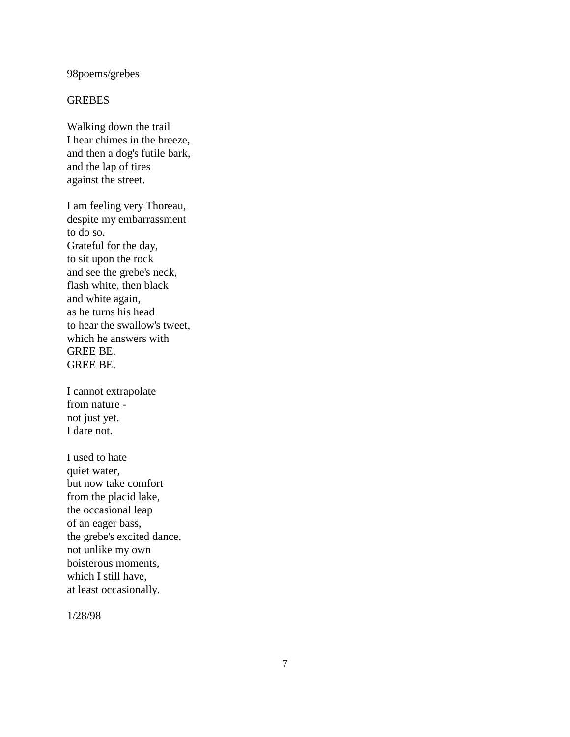### 98poems/grebes

#### **GREBES**

Walking down the trail I hear chimes in the breeze, and then a dog's futile bark, and the lap of tires against the street.

I am feeling very Thoreau, despite my embarrassment to do so. Grateful for the day, to sit upon the rock and see the grebe's neck, flash white, then black and white again, as he turns his head to hear the swallow's tweet, which he answers with GREE BE. GREE BE.

I cannot extrapolate from nature not just yet. I dare not.

I used to hate quiet water, but now take comfort from the placid lake, the occasional leap of an eager bass, the grebe's excited dance, not unlike my own boisterous moments, which I still have, at least occasionally.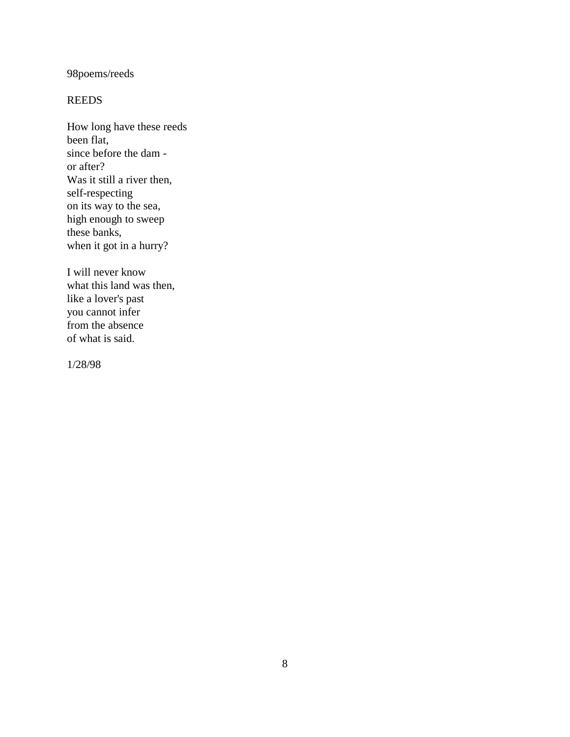# 98poems/reeds

## REEDS

How long have these reeds been flat, since before the dam or after? Was it still a river then, self-respecting on its way to the sea, high enough to sweep these banks, when it got in a hurry?

I will never know what this land was then, like a lover's past you cannot infer from the absence of what is said.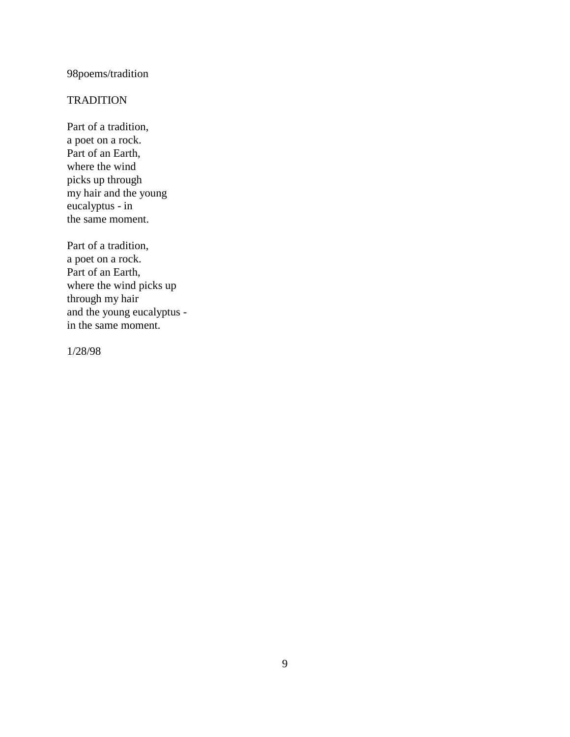# 98poems/tradition

## **TRADITION**

Part of a tradition, a poet on a rock. Part of an Earth, where the wind picks up through my hair and the young eucalyptus - in the same moment.

Part of a tradition, a poet on a rock. Part of an Earth, where the wind picks up through my hair and the young eucalyptus in the same moment.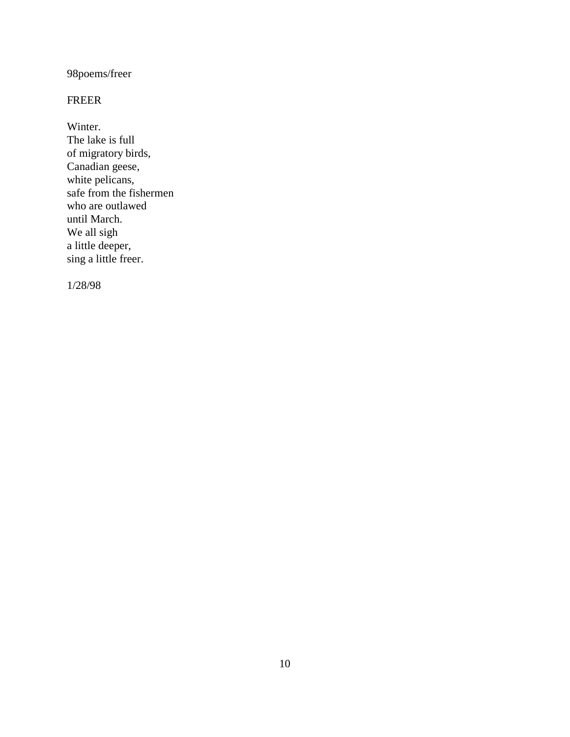98poems/freer

## FREER

Winter.

The lake is full of migratory birds, Canadian geese, white pelicans, safe from the fishermen who are outlawed until March. We all sigh a little deeper, sing a little freer.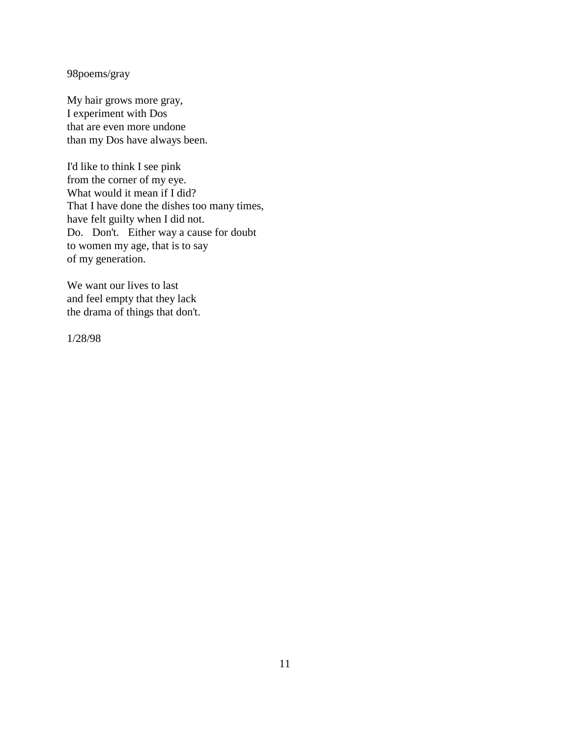98poems/gray

My hair grows more gray, I experiment with Dos that are even more undone than my Dos have always been.

I'd like to think I see pink from the corner of my eye. What would it mean if I did? That I have done the dishes too many times, have felt guilty when I did not. Do. Don't. Either way a cause for doubt to women my age, that is to say of my generation.

We want our lives to last and feel empty that they lack the drama of things that don't.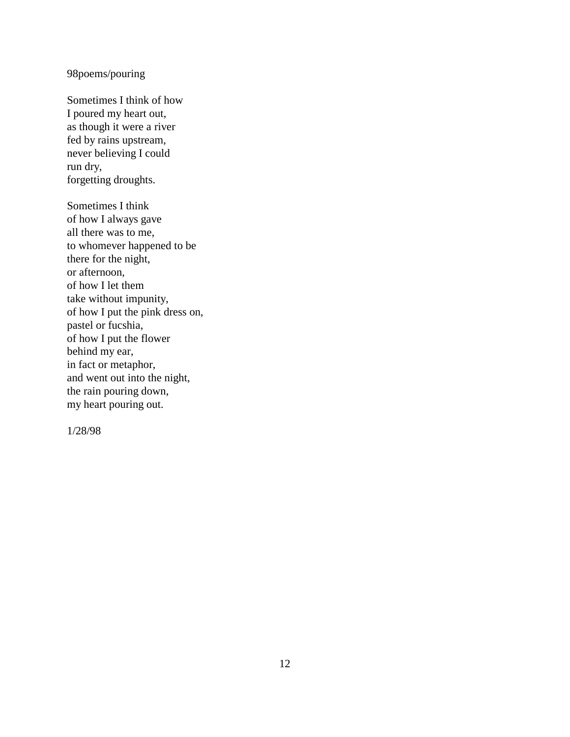## 98poems/pouring

Sometimes I think of how I poured my heart out, as though it were a river fed by rains upstream, never believing I could run dry, forgetting droughts.

Sometimes I think of how I always gave all there was to me, to whomever happened to be there for the night, or afternoon, of how I let them take without impunity, of how I put the pink dress on, pastel or fucshia, of how I put the flower behind my ear, in fact or metaphor, and went out into the night, the rain pouring down, my heart pouring out.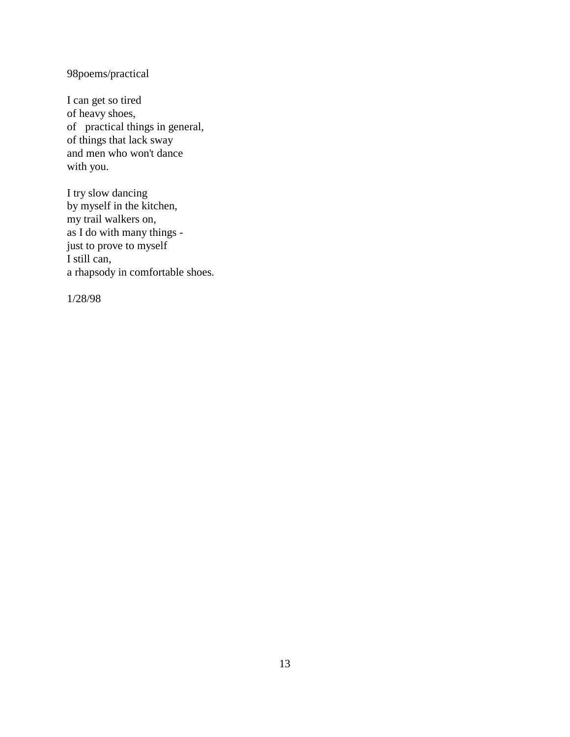98poems/practical

I can get so tired of heavy shoes, of practical things in general, of things that lack sway and men who won't dance with you.

I try slow dancing by myself in the kitchen, my trail walkers on, as I do with many things just to prove to myself I still can, a rhapsody in comfortable shoes.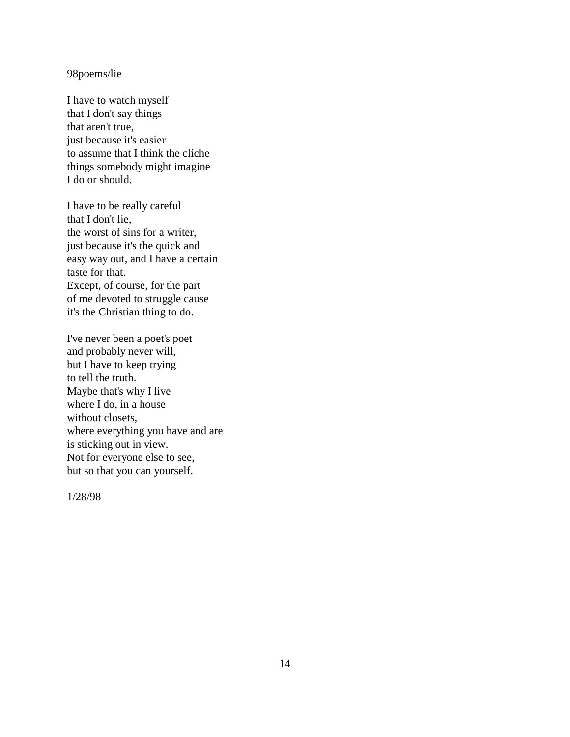#### 98poems/lie

I have to watch myself that I don't say things that aren't true, just because it's easier to assume that I think the cliche things somebody might imagine I do or should.

I have to be really careful that I don't lie, the worst of sins for a writer, just because it's the quick and easy way out, and I have a certain taste for that. Except, of course, for the part of me devoted to struggle cause it's the Christian thing to do.

I've never been a poet's poet and probably never will, but I have to keep trying to tell the truth. Maybe that's why I live where I do, in a house without closets, where everything you have and are is sticking out in view. Not for everyone else to see, but so that you can yourself.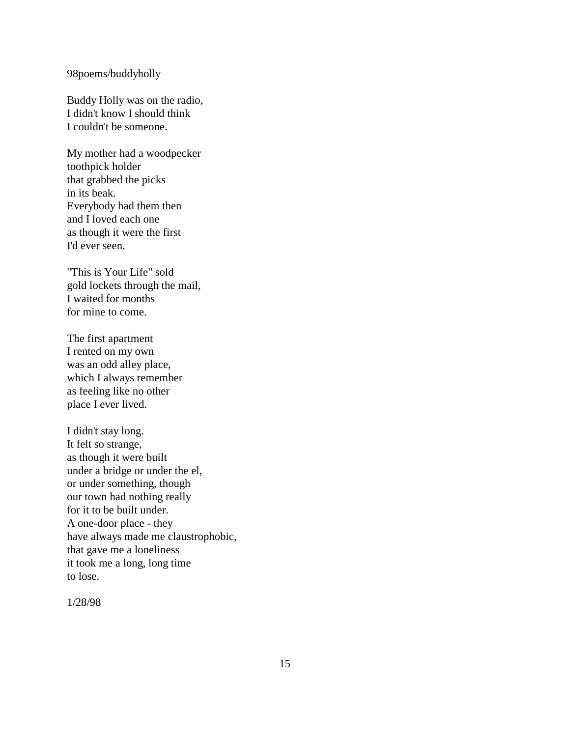#### 98poems/buddyholly

Buddy Holly was on the radio, I didn't know I should think I couldn't be someone.

My mother had a woodpecker toothpick holder that grabbed the picks in its beak. Everybody had them then and I loved each one as though it were the first I'd ever seen.

"This is Your Life" sold gold lockets through the mail, I waited for months for mine to come.

The first apartment I rented on my own was an odd alley place, which I always remember as feeling like no other place I ever lived.

I didn't stay long. It felt so strange, as though it were built under a bridge or under the el, or under something, though our town had nothing really for it to be built under. A one-door place - they have always made me claustrophobic, that gave me a loneliness it took me a long, long time to lose.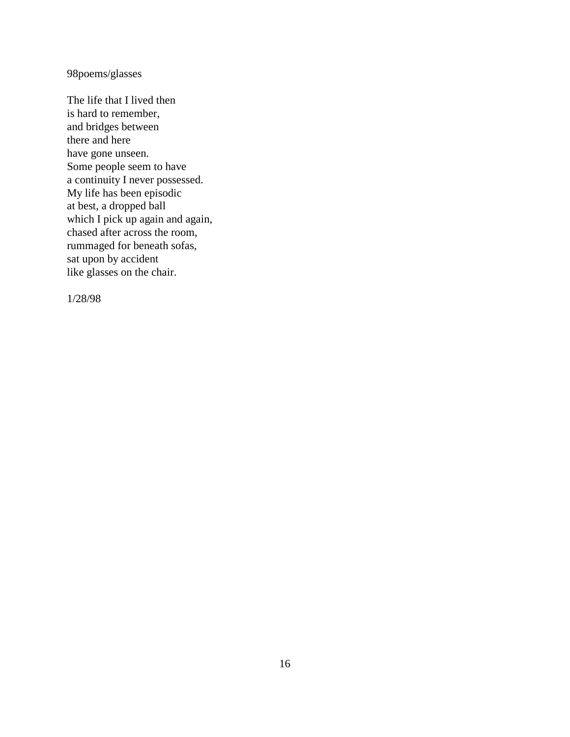98poems/glasses

The life that I lived then is hard to remember, and bridges between there and here have gone unseen. Some people seem to have a continuity I never possessed. My life has been episodic at best, a dropped ball which I pick up again and again, chased after across the room, rummaged for beneath sofas, sat upon by accident like glasses on the chair.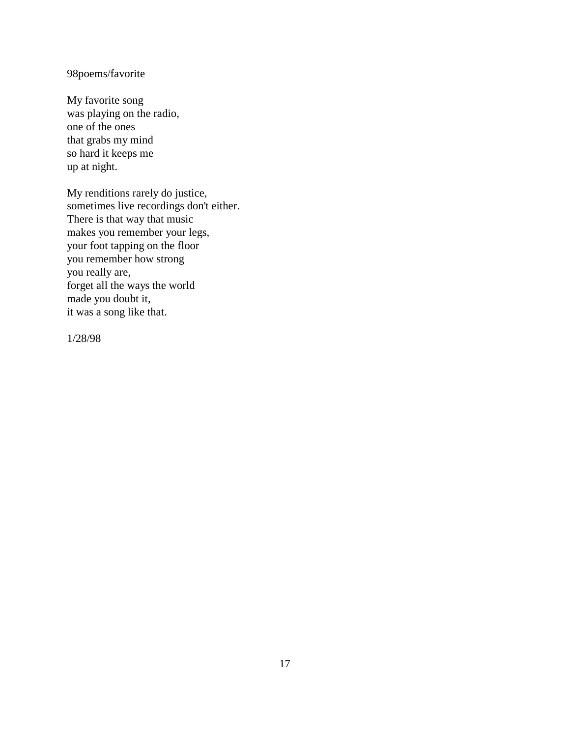## 98poems/favorite

My favorite song was playing on the radio, one of the ones that grabs my mind so hard it keeps me up at night.

My renditions rarely do justice, sometimes live recordings don't either. There is that way that music makes you remember your legs, your foot tapping on the floor you remember how strong you really are, forget all the ways the world made you doubt it, it was a song like that.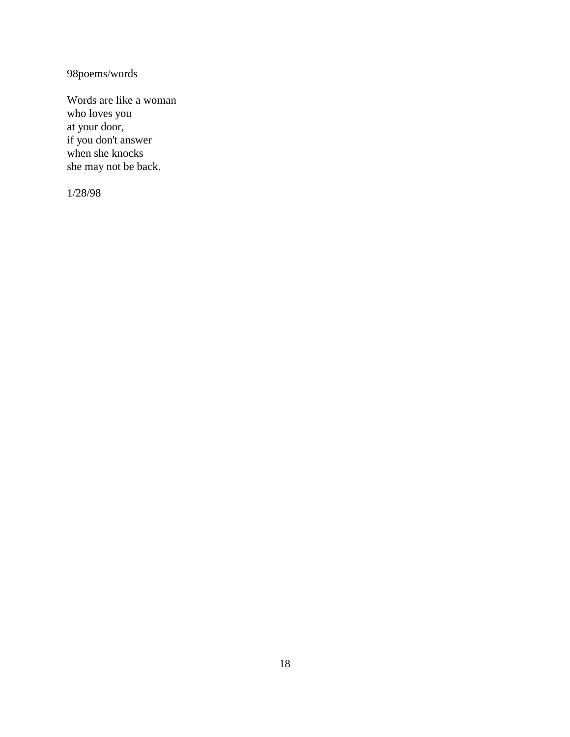98poems/words

Words are like a woman who loves you at your door, if you don't answer when she knocks she may not be back.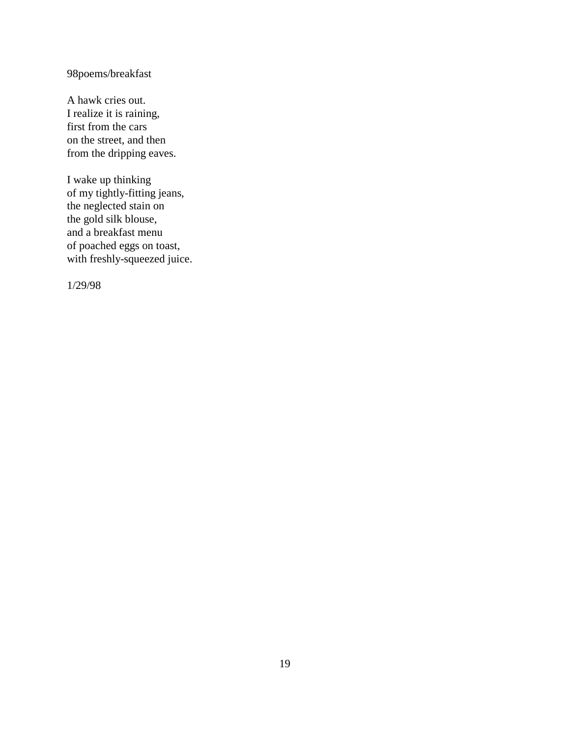# 98poems/breakfast

A hawk cries out. I realize it is raining, first from the cars on the street, and then from the dripping eaves.

I wake up thinking of my tightly-fitting jeans, the neglected stain on the gold silk blouse, and a breakfast menu of poached eggs on toast, with freshly-squeezed juice.

1/29/98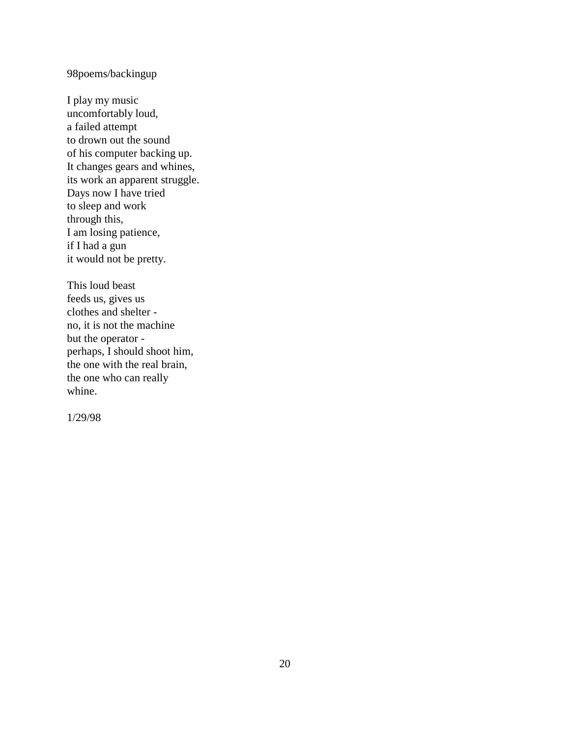## 98poems/backingup

I play my music uncomfortably loud, a failed attempt to drown out the sound of his computer backing up. It changes gears and whines, its work an apparent struggle. Days now I have tried to sleep and work through this, I am losing patience, if I had a gun it would not be pretty.

This loud beast feeds us, gives us clothes and shelter no, it is not the machine but the operator perhaps, I should shoot him, the one with the real brain, the one who can really whine.

1/29/98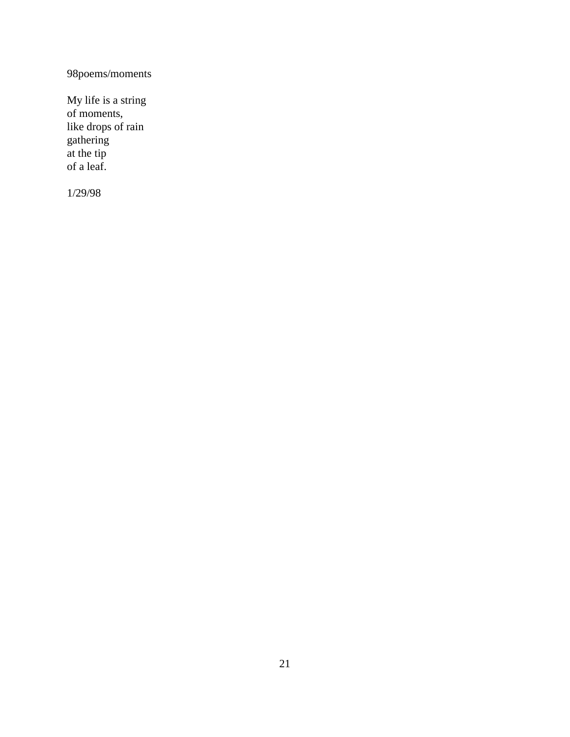98poems/moments

My life is a string of moments, like drops of rain gathering at the tip of a leaf.

1/29/98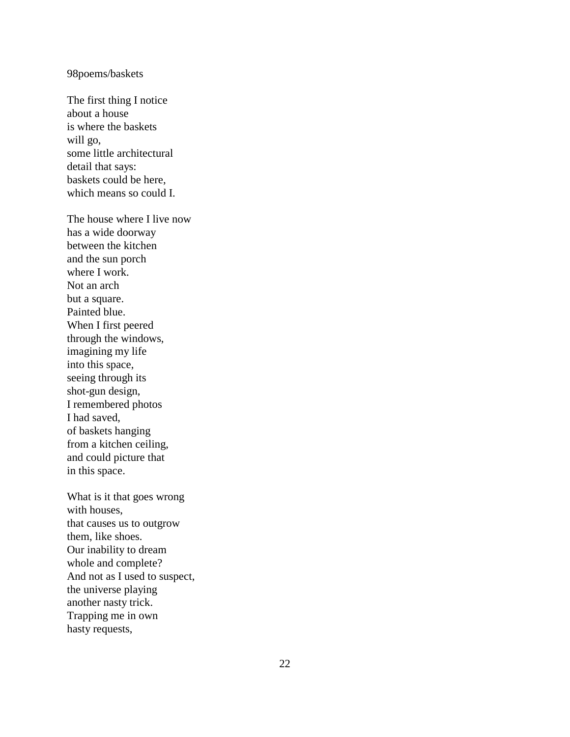#### 98poems/baskets

The first thing I notice about a house is where the baskets will go, some little architectural detail that says: baskets could be here, which means so could I.

The house where I live now has a wide doorway between the kitchen and the sun porch where I work. Not an arch but a square. Painted blue. When I first peered through the windows, imagining my life into this space, seeing through its shot -gun design, I remembered photos I had saved, of baskets hanging from a kitchen ceiling, and could picture that in this space.

What is it that goes wrong with houses, that causes us to outgrow them, like shoes. Our inability to dream whole and complete? And not as I used to suspect, the universe playing another nasty trick. Trapping me in own hasty requests,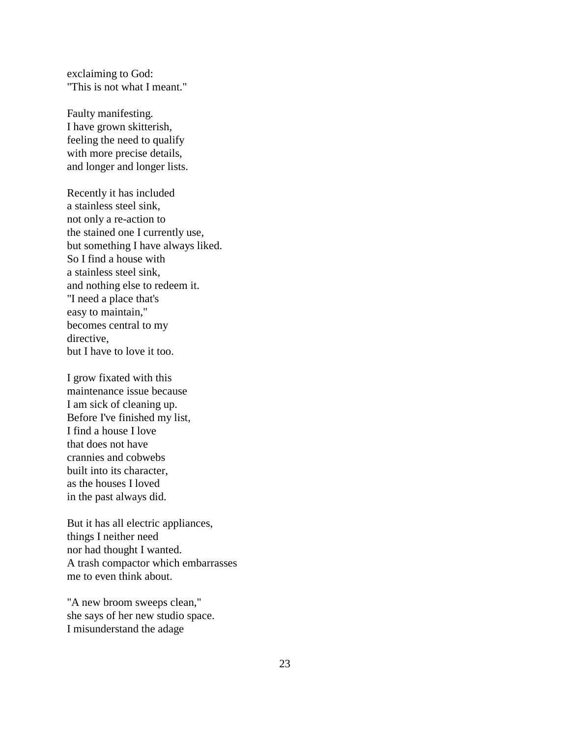exclaiming to God: "This is not what I meant."

Faulty manifesting. I have grown skitterish, feeling the need to qualify with more precise details, and longer and longer lists.

Recently it has included a stainless steel sink, not only a re-action to the stained one I currently use, but something I have always liked. So I find a house with a stainless steel sink, and nothing else to redeem it. "I need a place that's easy to maintain," becomes central to my directive, but I have to love it too.

I grow fixated with this maintenance issue because I am sick of cleaning up. Before I've finished my list, I find a house I love that does not have crannies and cobwebs built into its character, as the houses I loved in the past always did.

But it has all electric appliances, things I neither need nor had thought I wanted. A trash compactor which embarrasses me to even think about.

"A new broom sweeps clean," she says of her new studio space. I misunderstand the adage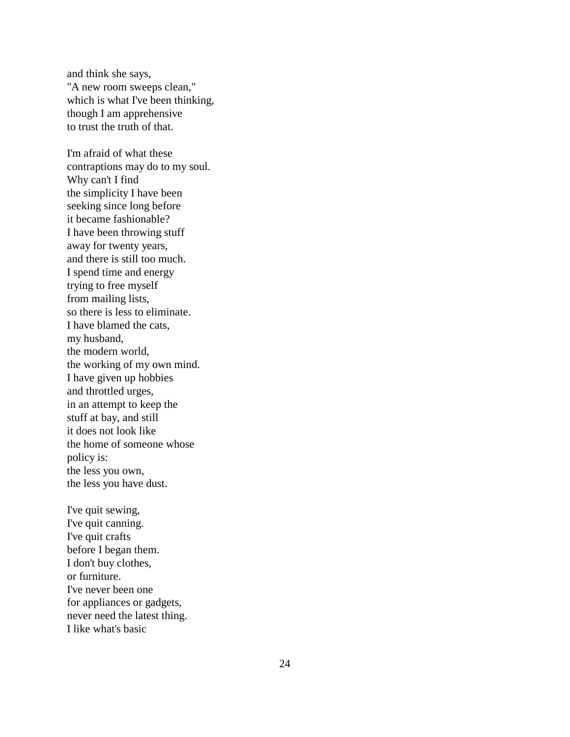and think she says, "A new room sweeps clean," which is what I've been thinking, though I am apprehensive to trust the truth of that.

I'm afraid of what these contraptions may do to my soul. Why can't I find the simplicity I have been seeking since long before it became fashionable? I have been throwing stuff away for twenty years, and there is still too much. I spend time and energy trying to free myself from mailing lists, so there is less to eliminate. I have blamed the cats, my husband, the modern world, the working of my own mind. I have given up hobbies and throttled urges, in an attempt to keep the stuff at bay, and still it does not look like the home of someone whose policy is: the less you own, the less you have dust.

I've quit sewing, I've quit canning. I've quit crafts before I began them. I don't buy clothes, or furniture. I've never been one for appliances or gadgets, never need the latest thing. I like what's basic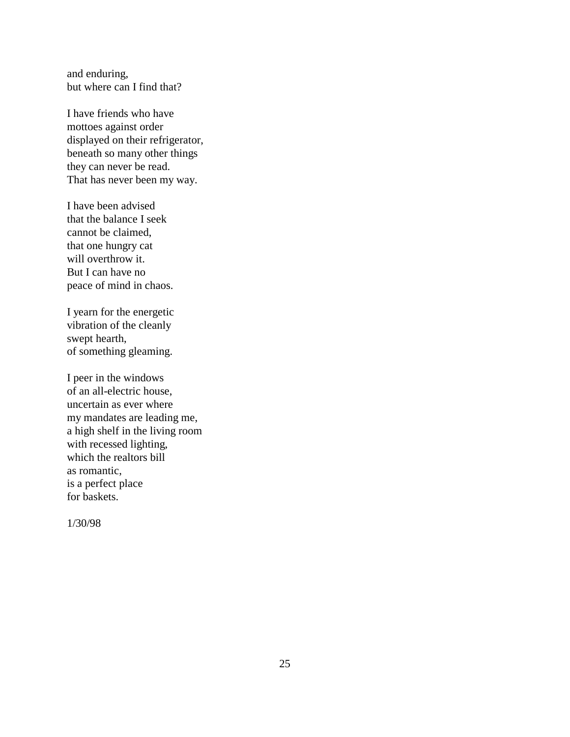and enduring, but where can I find that?

I have friends who have mottoes against order displayed on their refrigerator, beneath so many other things they can never be read. That has never been my way.

I have been advised that the balance I seek cannot be claimed, that one hungry cat will overthrow it. But I can have no peace of mind in chaos.

I yearn for the energetic vibration of the cleanly swept hearth, of something gleaming.

I peer in the windows of an all-electric house, uncertain as ever where my mandates are leading me, a high shelf in the living room with recessed lighting, which the realtors bill as romantic, is a perfect place for baskets.

1/30/98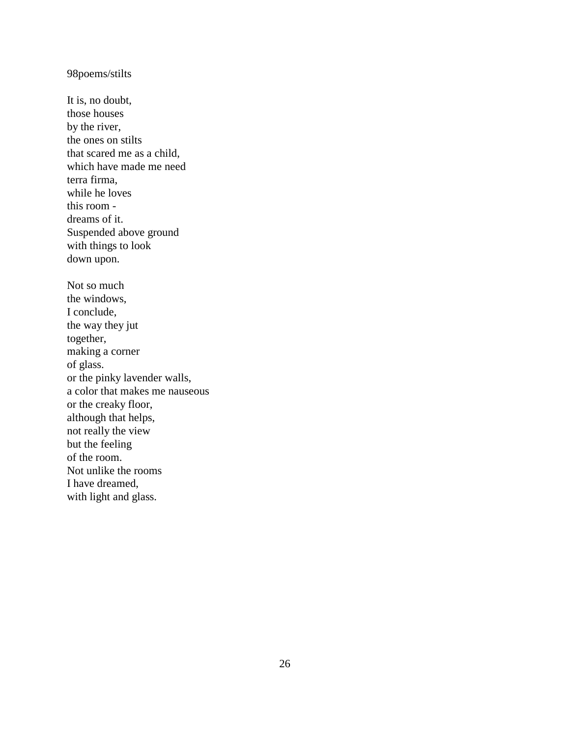98poems/stilts

It is, no doubt, those houses by the river, the ones on stilts that scared me as a child, which have made me need terra firma, while he loves this room dreams of it. Suspended above ground with things to look down upon. Not so much the windows, I conclude, the way they jut together, making a corner of glass. or the pinky lavender walls, a color that makes me nauseous or the creaky floor, although that helps, not really the view but the feeling of the room. Not unlike the rooms I have dreamed, with light and glass.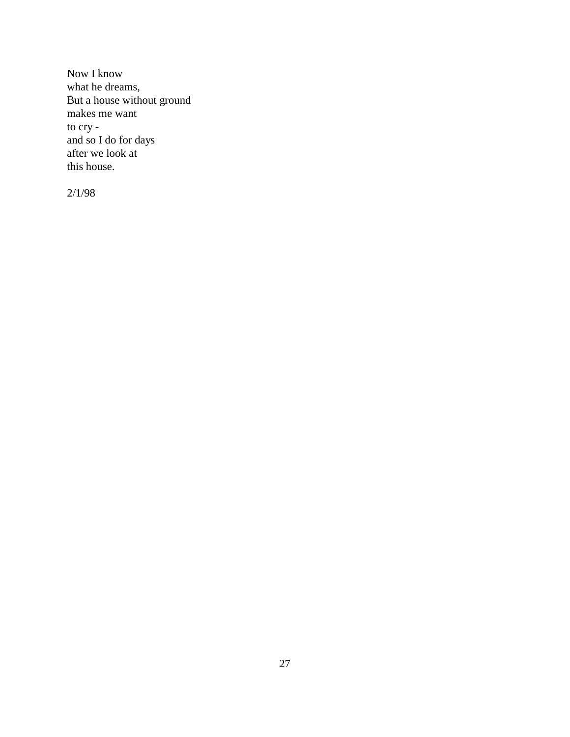Now I know what he dreams, But a house without ground makes me want to cry and so I do for days after we look at this house.

2/1/98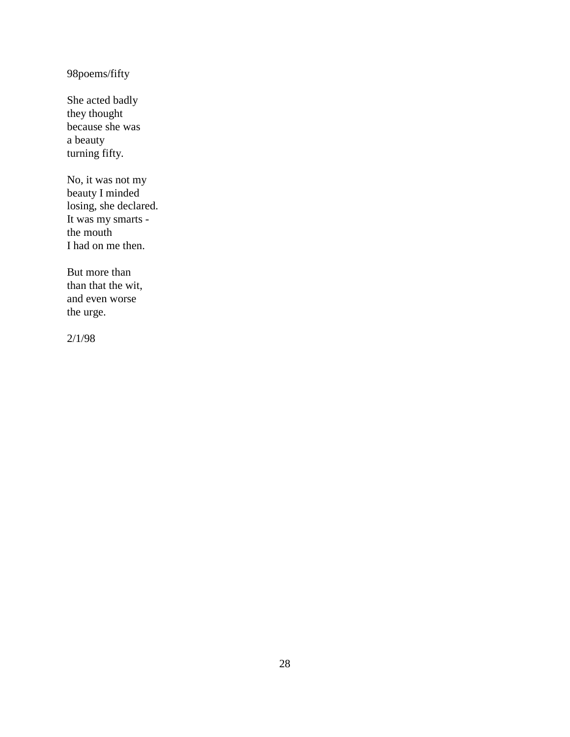98poems/fifty

She acted badly they thought because she was a beauty turning fifty.

No, it was not my beauty I minded losing, she declared. It was my smarts the mouth I had on me then.

But more than than that the wit, and even worse the urge.

2/1/98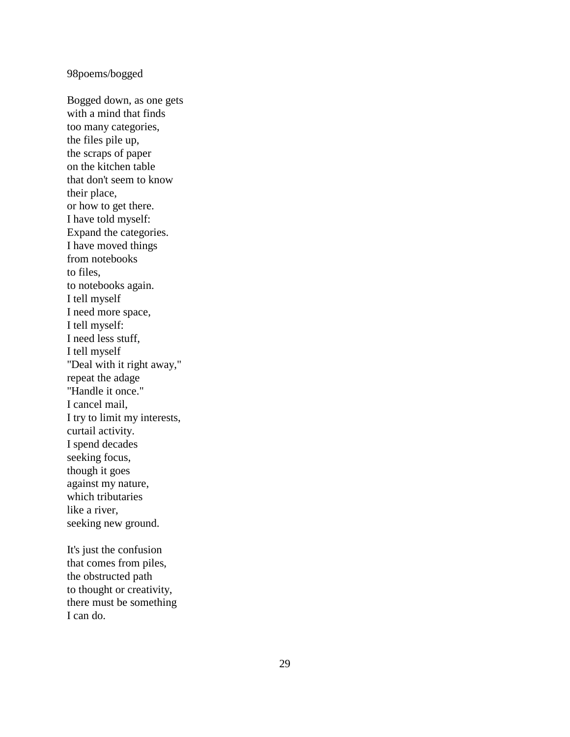#### 98poems/bogged

Bogged down, as one gets with a mind that finds too many categories, the files pile up, the scraps of paper on the kitchen table that don't seem to know their place, or how to get there. I have told myself: Expand the categories. I have moved things from notebooks to files, to notebooks again. I tell myself I need more space, I tell myself: I need less stuff, I tell myself "Deal with it right away," repeat the adage "Handle it once." I cancel mail, I try to limit my interests, curtail activity. I spend decades seeking focus, though it goes against my nature, which tributaries like a river, seeking new ground.

It's just the confusion that comes from piles, the obstructed path to thought or creativity, there must be something I can do.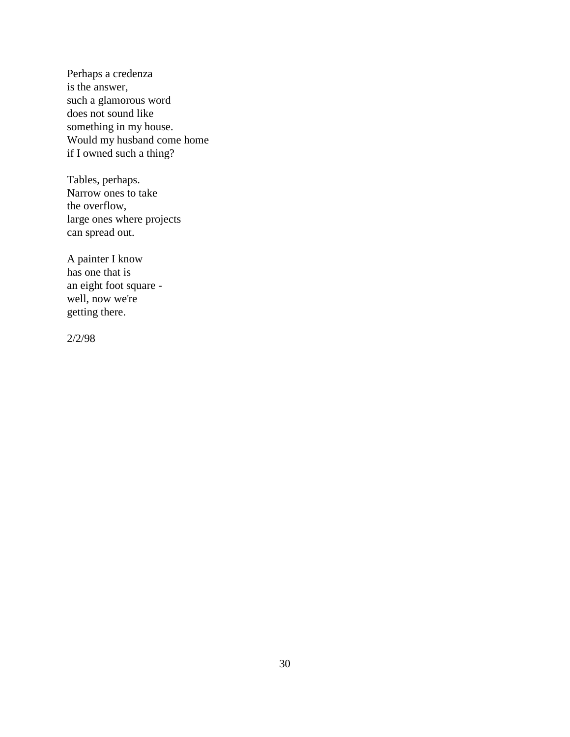Perhaps a credenza is the answer, such a glamorous word does not sound like something in my house. Would my husband come home if I owned such a thing?

Tables, perhaps. Narrow ones to take the overflow, large ones where projects can spread out.

A painter I know has one that is an eight foot square well, now we're getting there.

2/2/98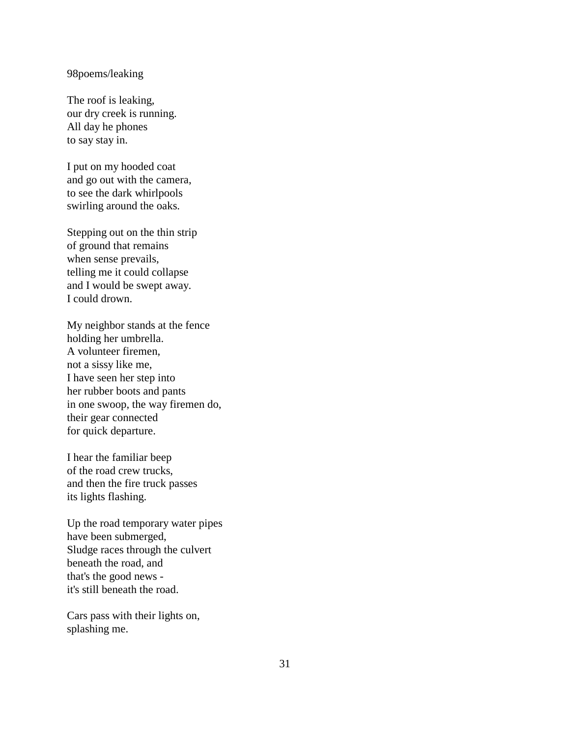#### 98poems/leaking

The roof is leaking, our dry creek is running. All day he phones to say stay in.

I put on my hooded coat and go out with the camera, to see the dark whirlpools swirling around the oaks.

Stepping out on the thin strip of ground that remains when sense prevails, telling me it could collapse and I would be swept away. I could drown.

My neighbor stands at the fence holding her umbrella. A volunteer firemen, not a sissy like me, I have seen her step into her rubber boots and pants in one swoop, the way firemen do, their gear connected for quick departure.

I hear the familiar beep of the road crew trucks, and then the fire truck passes its lights flashing.

Up the road temporary water pipes have been submerged, Sludge races through the culvert beneath the road, and that's the good news it's still beneath the road.

Cars pass with their lights on, splashing me.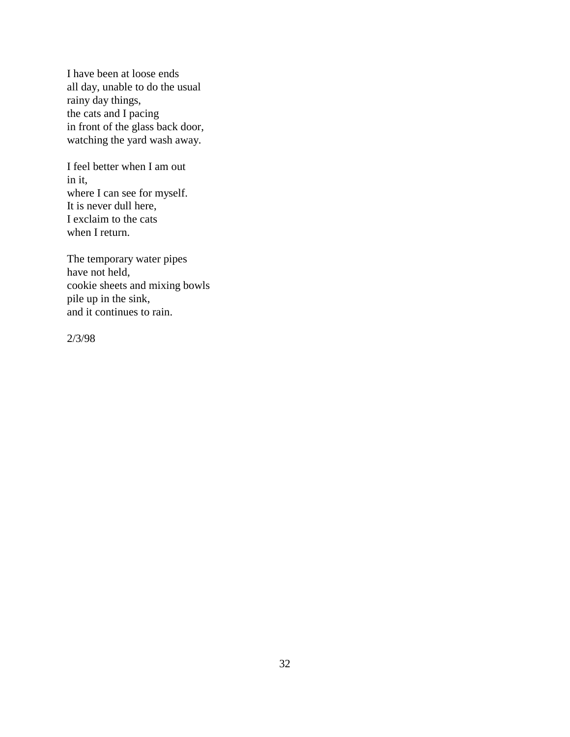I have been at loose ends all day, unable to do the usual rainy day things, the cats and I pacing in front of the glass back door, watching the yard wash away.

I feel better when I am out in it, where I can see for myself. It is never dull here, I exclaim to the cats when I return.

The temporary water pipes have not held, cookie sheets and mixing bowls pile up in the sink, and it continues to rain.

2/3/98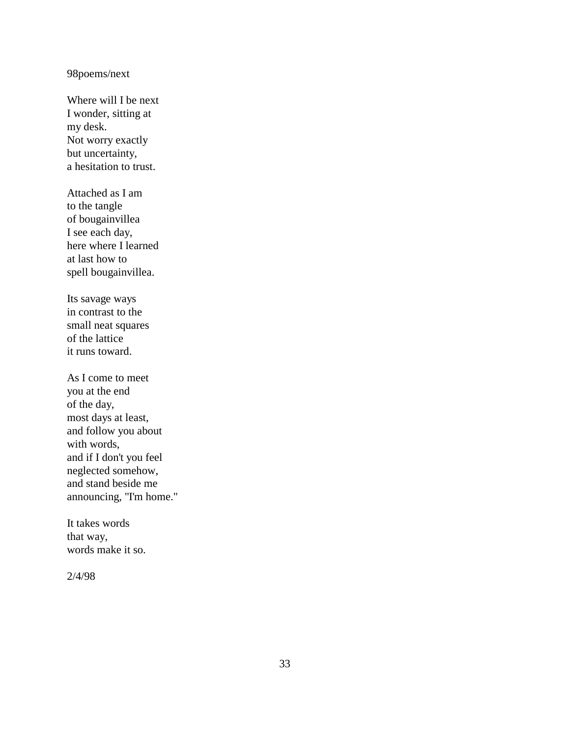## 98poems/next

Where will I be next I wonder, sitting at my desk. Not worry exactly but uncertainty, a hesitation to trust.

Attached as I am to the tangle of bougainvillea I see each day, here where I learned at last how to spell bougainvillea.

Its savage ways in contrast to the small neat squares of the lattice it runs toward.

As I come to meet you at the end of the day, most days at least, and follow you about with words, and if I don't you feel neglected somehow, and stand beside me announcing, "I'm home."

It takes words that way, words make it so.

2/4/98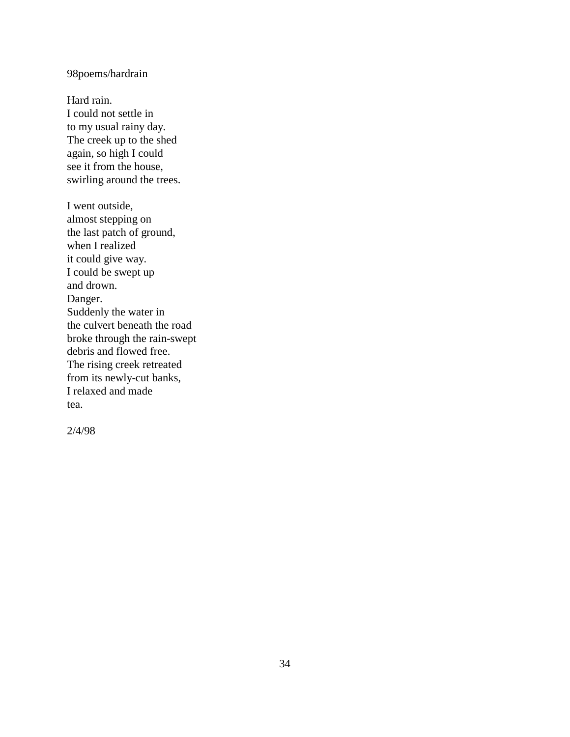## 98poems/hardrain

Hard rain. I could not settle in to my usual rainy day. The creek up to the shed again, so high I could see it from the house, swirling around the trees.

I went outside, almost stepping on the last patch of ground, when I realized it could give way. I could be swept up and drown. Danger. Suddenly the water in the culvert beneath the road broke through the rain-swept debris and flowed free. The rising creek retreated from its newly-cut banks, I relaxed and made tea.

2/4/98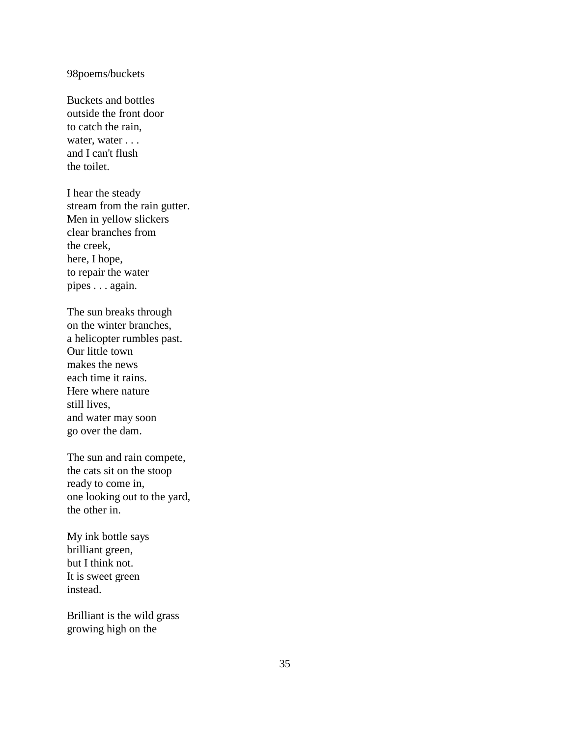#### 98poems/buckets

Buckets and bottles outside the front door to catch the rain, water, water . . . and I can't flush the toilet.

I hear the steady stream from the rain gutter. Men in yellow slickers clear branches from the creek, here, I hope, to repair the water pipes . . . again.

The sun breaks through on the winter branches, a helicopter rumbles past. Our little town makes the news each time it rains. Here where nature still lives, and water may soon go over the dam.

The sun and rain compete, the cats sit on the stoop ready to come in, one looking out to the yard, the other in.

My ink bottle says brilliant green, but I think not. It is sweet green instead.

Brilliant is the wild grass growing high on the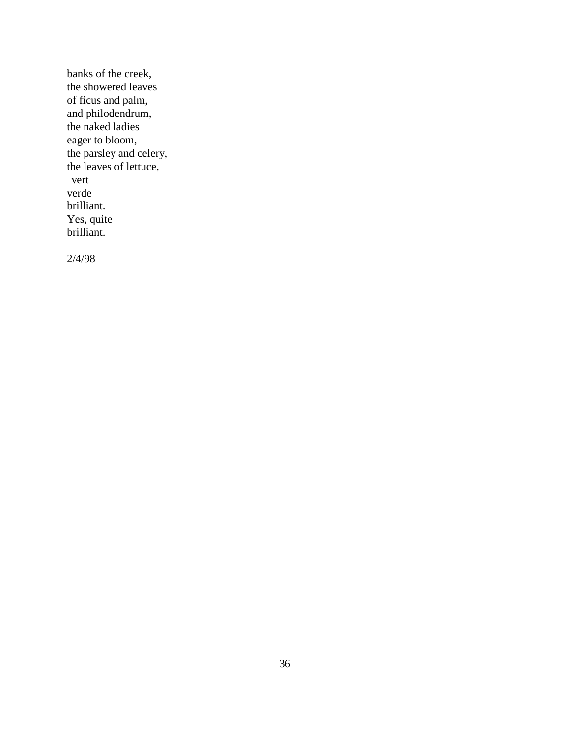banks of the creek, the showered leaves of ficus and palm, and philodendrum, the naked ladies eager to bloom, the parsley and celery, the leaves of lettuce, vert verde brilliant. Yes, quite brilliant.

2/4/98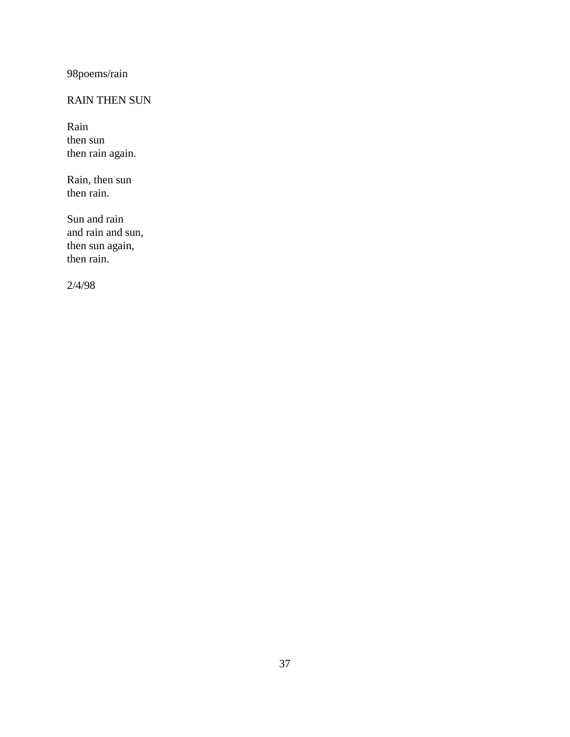98poems/rain

## RAIN THEN SUN

Rain then sun then rain again.

Rain, then sun then rain.

Sun and rain and rain and sun, then sun again, then rain.

2/4/98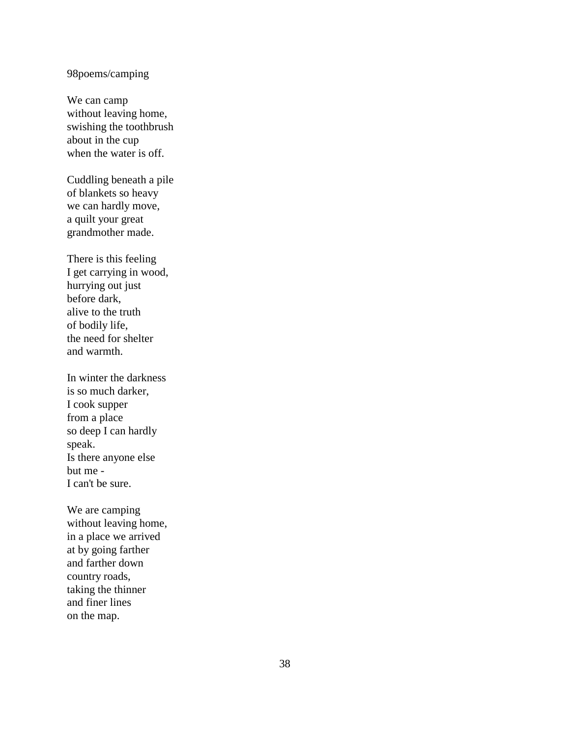### 98poems/camping

We can camp without leaving home, swishing the toothbrush about in the cup when the water is off.

Cuddling beneath a pile of blankets so heavy we can hardly move, a quilt your great grandmother made.

There is this feeling I get carrying in wood, hurrying out just before dark, alive to the truth of bodily life, the need for shelter and warmth.

In winter the darkness is so much darker, I cook supper from a place so deep I can hardly speak. Is there anyone else but me - I can't be sure.

We are camping without leaving home, in a place we arrived at by going farther and farther down country roads, taking the thinner and finer lines on the map.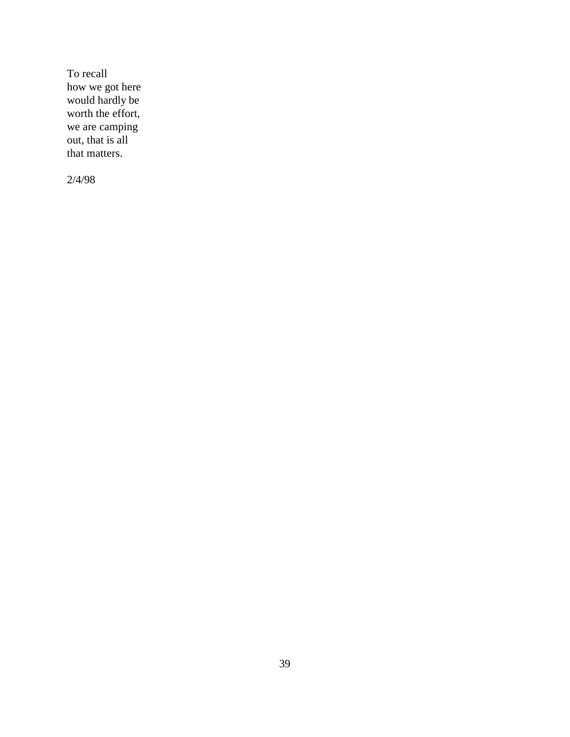To recall how we got here would hardly be worth the effort, we are camping out, that is all that matters.

2/4/98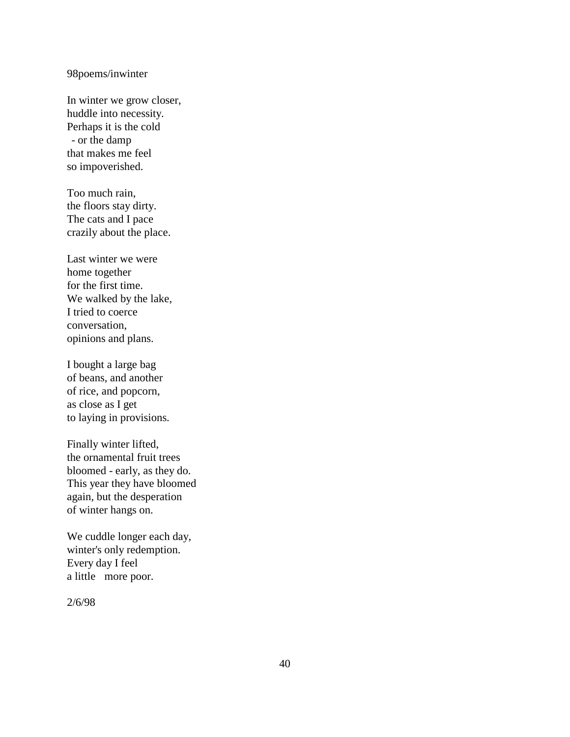### 98poems/inwinter

In winter we grow closer, huddle into necessity. Perhaps it is the cold - or the damp that makes me feel so impoverished.

Too much rain, the floors stay dirty. The cats and I pace crazily about the place.

Last winter we were home together for the first time. We walked by the lake, I tried to coerce conversation, opinions and plans.

I bought a large bag of beans, and another of rice, and popcorn, as close as I get to laying in provisions.

Finally winter lifted, the ornamental fruit trees bloomed - early, as they do. This year they have bloomed again, but the desperation of winter hangs on.

We cuddle longer each day, winter's only redemption. Every day I feel a little more poor.

2/6/98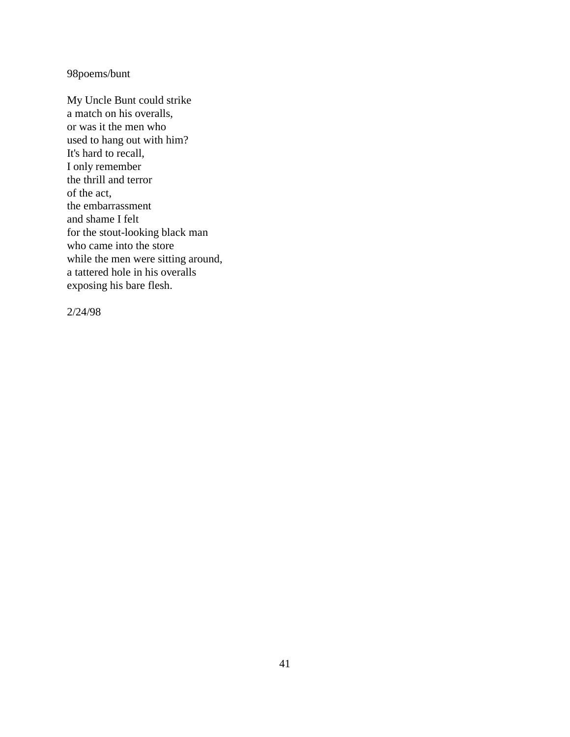### 98poems/bunt

My Uncle Bunt could strike a match on his overalls, or was it the men who used to hang out with him? It's hard to recall, I only remember the thrill and terror of the act, the embarrassment and shame I felt for the stout-looking black man who came into the store while the men were sitting around, a tattered hole in his overalls exposing his bare flesh.

2/24/98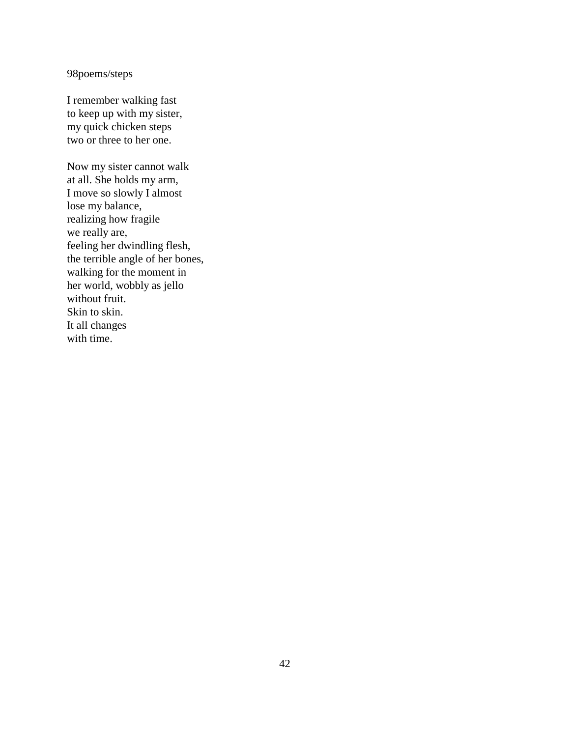### 98poems/steps

I remember walking fast to keep up with my sister, my quick chicken steps two or three to her one.

Now my sister cannot walk at all. She holds my arm, I move so slowly I almost lose my balance, realizing how fragile we really are, feeling her dwindling flesh, the terrible angle of her bones, walking for the moment in her world, wobbly as jello without fruit. Skin to skin. It all changes with time.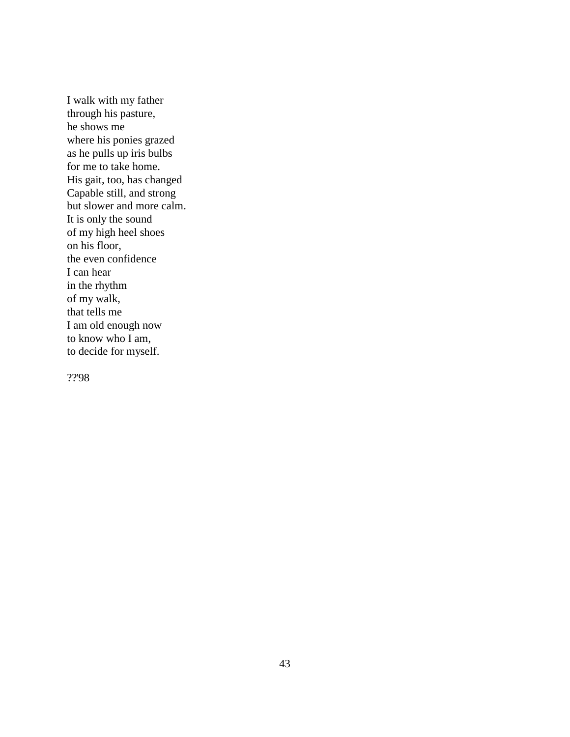I walk with my father through his pasture, he shows me where his ponies grazed as he pulls up iris bulbs for me to take home. His gait, too, has changed Capable still, and strong but slower and more calm. It is only the sound of my high heel shoes on his floor, the even confidence I can hear in the rhythm of my walk, that tells me I am old enough now to know who I am, to decide for myself.

??'98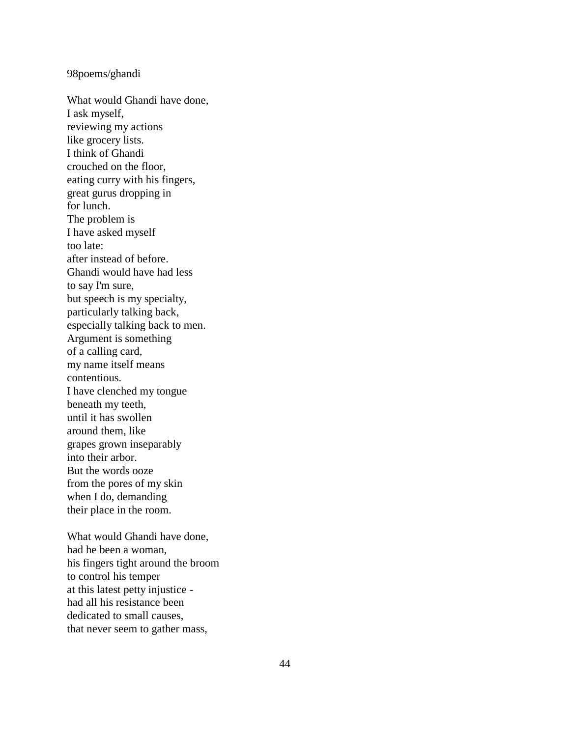### 98poems/ghandi

What would Ghandi have done, I ask myself, reviewing my actions like grocery lists. I think of Ghandi crouched on the floor, eating curry with his fingers, great gurus dropping in for lunch. The problem is I have asked myself too late: after instead of before. Ghandi would have had less to say I'm sure, but speech is my specialty, particularly talking back, especially talking back to men. Argument is something of a calling card, my name itself means contentious. I have clenched my tongue beneath my teeth, until it has swollen around them, like grapes grown inseparably into their arbor. But the words ooze from the pores of my skin when I do, demanding their place in the room.

What would Ghandi have done, had he been a woman, his fingers tight around the broom to control his temper at this latest petty injustice had all his resistance been dedicated to small causes, that never seem to gather mass,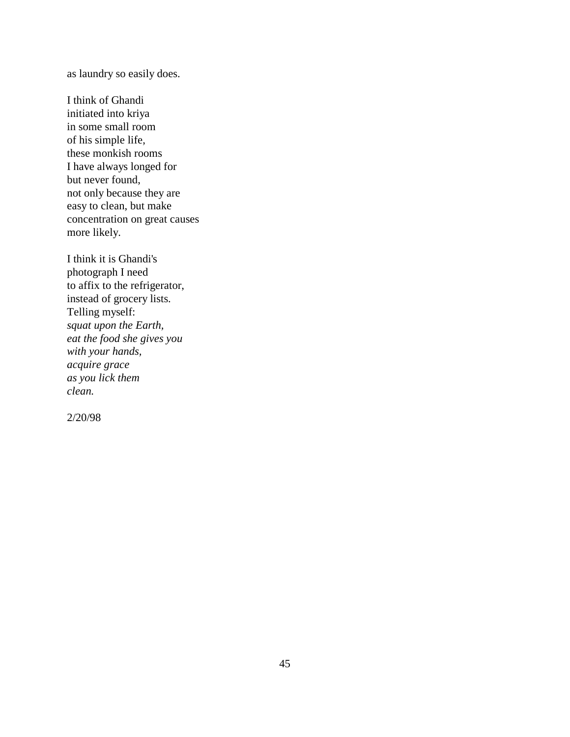as laundry so easily does.

I think of Ghandi initiated into kriya in some small room of his simple life, these monkish rooms I have always longed for but never found, not only because they are easy to clean, but make concentration on great causes more likely.

I think it is Ghandi's photograph I need to affix to the refrigerator, instead of grocery lists. Telling myself: *squat upon the Earth, eat the food she gives you with your hands, acquire grace as you lick them clean.*

2/20/98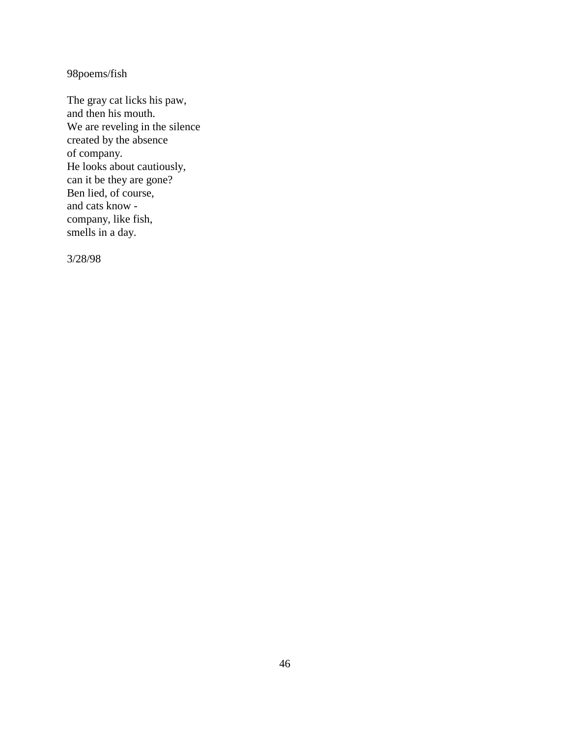98poems/fish

The gray cat licks his paw, and then his mouth. We are reveling in the silence created by the absence of company. He looks about cautiously, can it be they are gone? Ben lied, of course, and cats know company, like fish, smells in a day.

3/28/98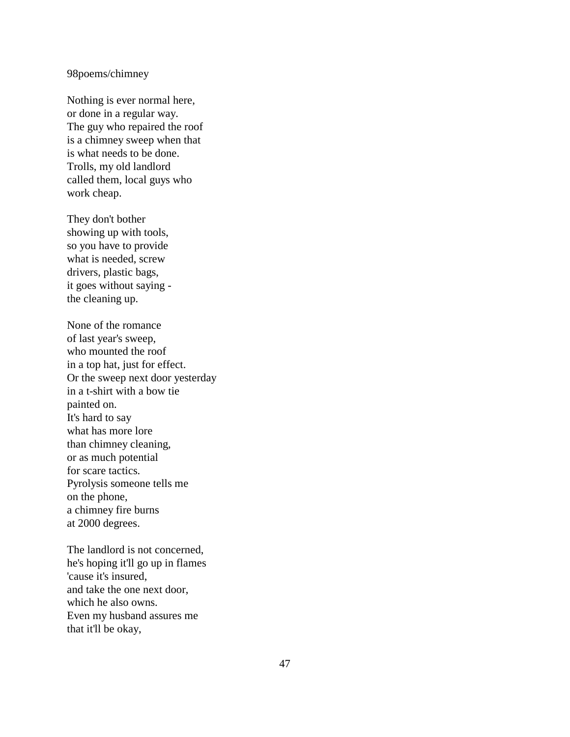### 98poems/chimney

Nothing is ever normal here, or done in a regular way. The guy who repaired the roof is a chimney sweep when that is what needs to be done. Trolls, my old landlord called them, local guys who work cheap.

They don't bother showing up with tools, so you have to provide what is needed, screw drivers, plastic bags, it goes without saying the cleaning up.

None of the romance of last year's sweep, who mounted the roof in a top hat, just for effect. Or the sweep next door yesterday in a t-shirt with a bow tie painted on. It's hard to say what has more lore than chimney cleaning, or as much potential for scare tactics. Pyrolysis someone tells me on the phone, a chimney fire burns at 2000 degrees.

The landlord is not concerned, he's hoping it'll go up in flames 'cause it's insured, and take the one next door, which he also owns. Even my husband assures me that it'll be okay,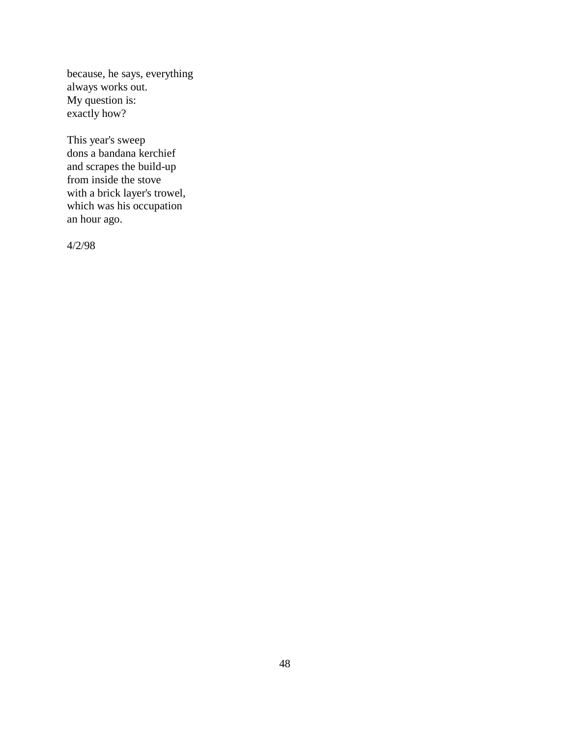because, he says, everything always works out. My question is: exactly how?

This year's sweep dons a bandana kerchief and scrapes the build-up from inside the stove with a brick layer's trowel, which was his occupation an hour ago.

4/2/98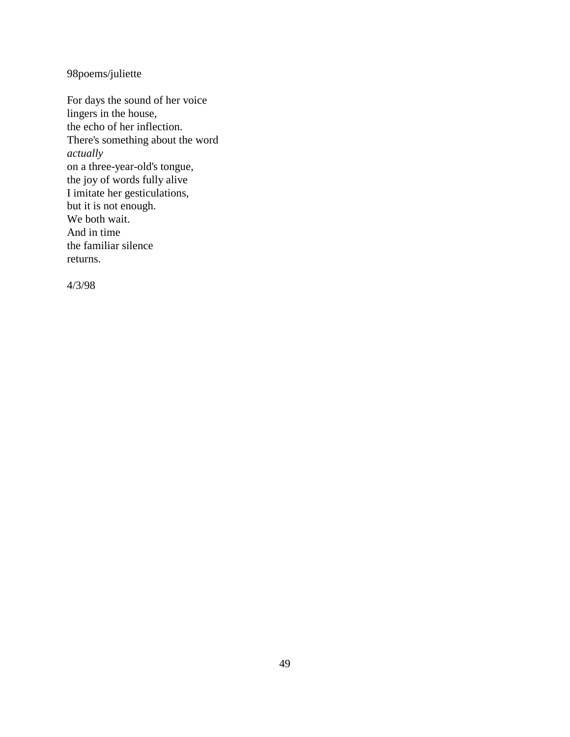98poems/juliette

For days the sound of her voice lingers in the house, the echo of her inflection. There's something about the word *actually* on a three-year-old's tongue, the joy of words fully alive I imitate her gesticulations, but it is not enough. We both wait. And in time the familiar silence returns.

4/3/98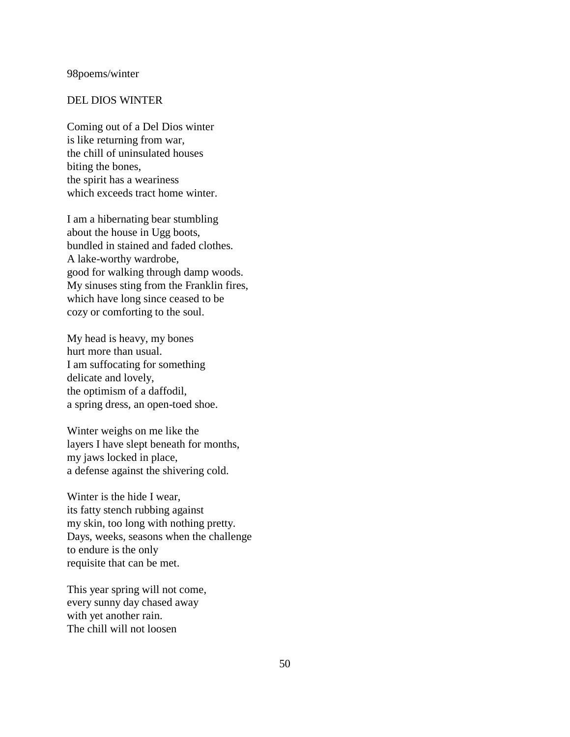#### 98poems/winter

#### DEL DIOS WINTER

Coming out of a Del Dios winter is like returning from war, the chill of uninsulated houses biting the bones, the spirit has a weariness which exceeds tract home winter.

I am a hibernating bear stumbling about the house in Ugg boots, bundled in stained and faded clothes. A lake-worthy wardrobe, good for walking through damp woods. My sinuses sting from the Franklin fires, which have long since ceased to be cozy or comforting to the soul.

My head is heavy, my bones hurt more than usual. I am suffocating for something delicate and lovely, the optimism of a daffodil, a spring dress, an open-toed shoe.

Winter weighs on me like the layers I have slept beneath for months, my jaws locked in place, a defense against the shivering cold.

Winter is the hide I wear, its fatty stench rubbing against my skin, too long with nothing pretty. Days, weeks, seasons when the challenge to endure is the only requisite that can be met.

This year spring will not come, every sunny day chased away with yet another rain. The chill will not loosen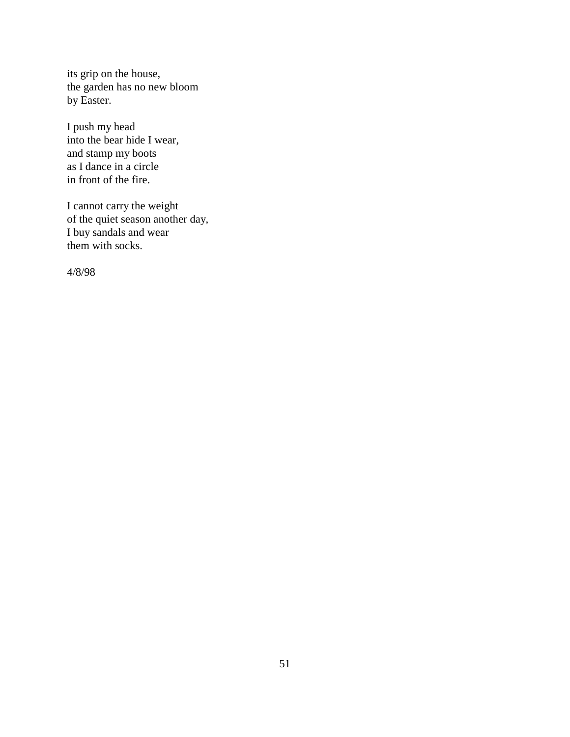its grip on the house, the garden has no new bloom by Easter.

I push my head into the bear hide I wear, and stamp my boots as I dance in a circle in front of the fire.

I cannot carry the weight of the quiet season another day, I buy sandals and wear them with socks.

4/8/98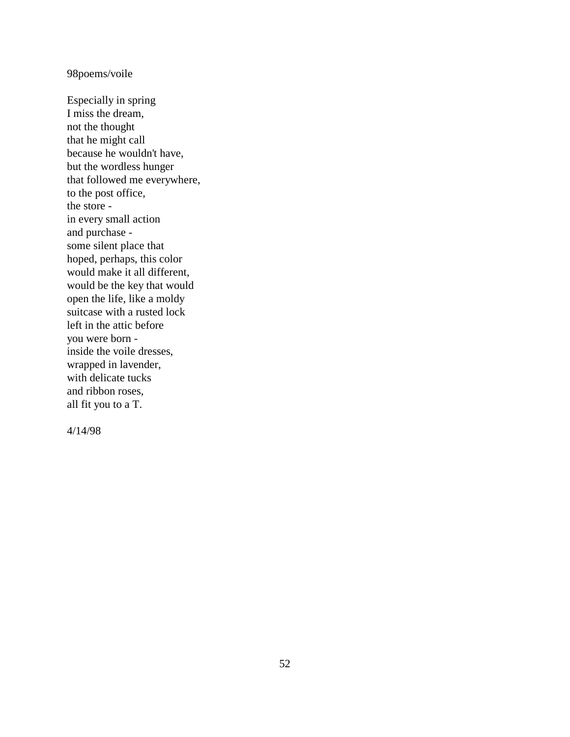### 98poems/voile

Especially in spring I miss the dream, not the thought that he might call because he wouldn't have, but the wordless hunger that followed me everywhere, to the post office, the store in every small action and purchase some silent place that hoped, perhaps, this color would make it all different, would be the key that would open the life, like a moldy suitcase with a rusted lock left in the attic before you were born inside the voile dresses, wrapped in lavender, with delicate tucks and ribbon roses, all fit you to a T.

4/14/98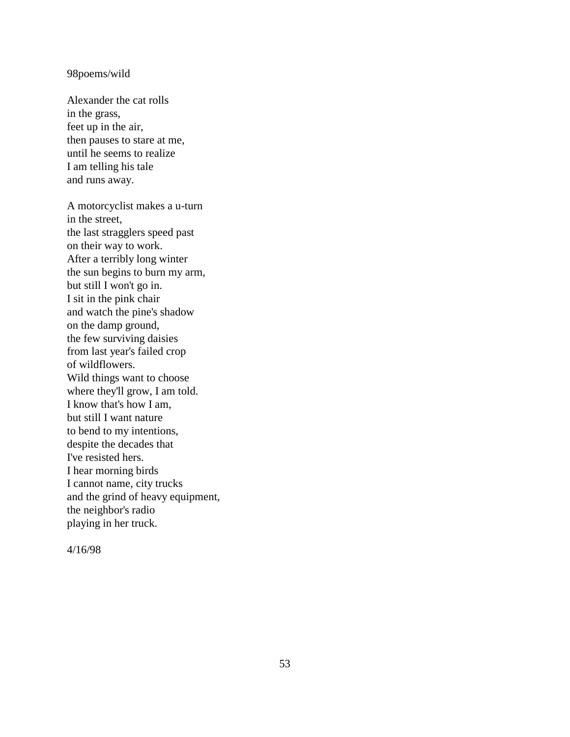#### 98poems/wild

Alexander the cat rolls in the grass, feet up in the air, then pauses to stare at me, until he seems to realize I am telling his tale and runs away.

A motorcyclist makes a u-turn in the street, the last stragglers speed past on their way to work. After a terribly long winter the sun begins to burn my arm, but still I won't go in. I sit in the pink chair and watch the pine's shadow on the damp ground, the few surviving daisies from last year's failed crop of wildflowers. Wild things want to choose where they'll grow, I am told. I know that's how I am, but still I want nature to bend to my intentions, despite the decades that I've resisted hers. I hear morning birds I cannot name, city trucks and the grind of heavy equipment, the neighbor's radio playing in her truck.

4/16/98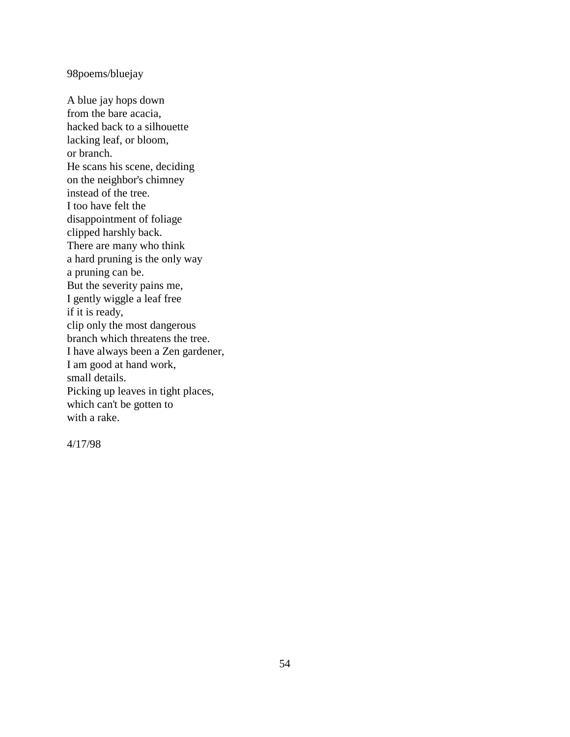98poems/bluejay

A blue jay hops down from the bare acacia, hacked back to a silhouette lacking leaf, or bloom, or branch. He scans his scene, deciding on the neighbor's chimney instead of the tree. I too have felt the disappointment of foliage clipped harshly back. There are many who think a hard pruning is the only way a pruning can be. But the severity pains me, I gently wiggle a leaf free if it is ready, clip only the most dangerous branch which threatens the tree. I have always been a Zen gardener, I am good at hand work, small details. Picking up leaves in tight places, which can't be gotten to with a rake.

4/17/98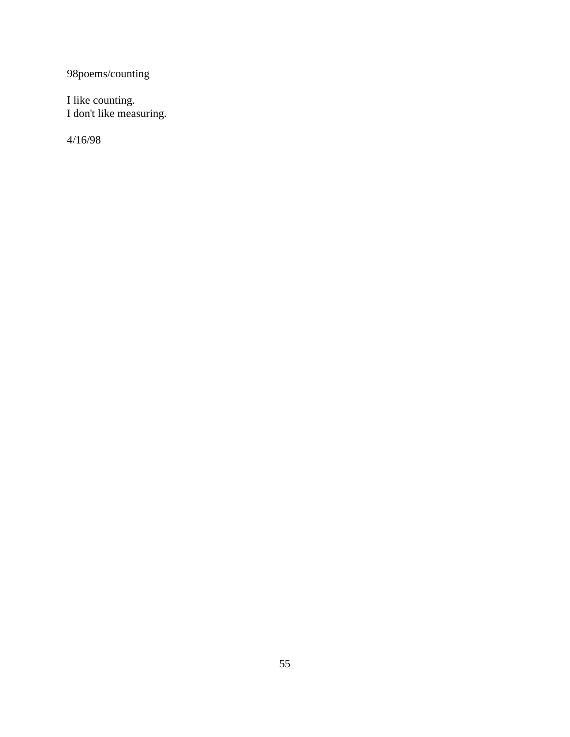98poems/counting

I like counting. I don't like measuring.

4/16/98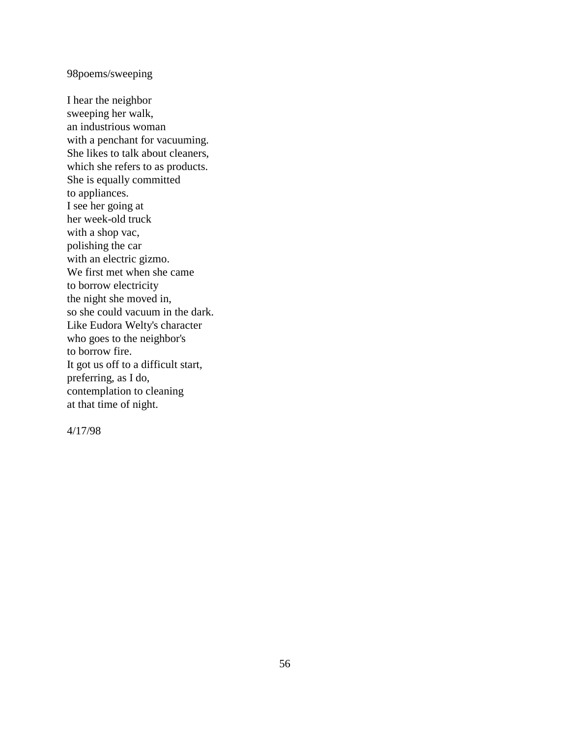98poems/sweeping

I hear the neighbor sweeping her walk, an industrious woman with a penchant for vacuuming. She likes to talk about cleaners, which she refers to as products. She is equally committed to appliances. I see her going at her week-old truck with a shop vac, polishing the car with an electric gizmo. We first met when she came to borrow electricity the night she moved in, so she could vacuum in the dark. Like Eudora Welty's character who goes to the neighbor's to borrow fire. It got us off to a difficult start, preferring, as I do, contemplation to cleaning at that time of night.

4/17/98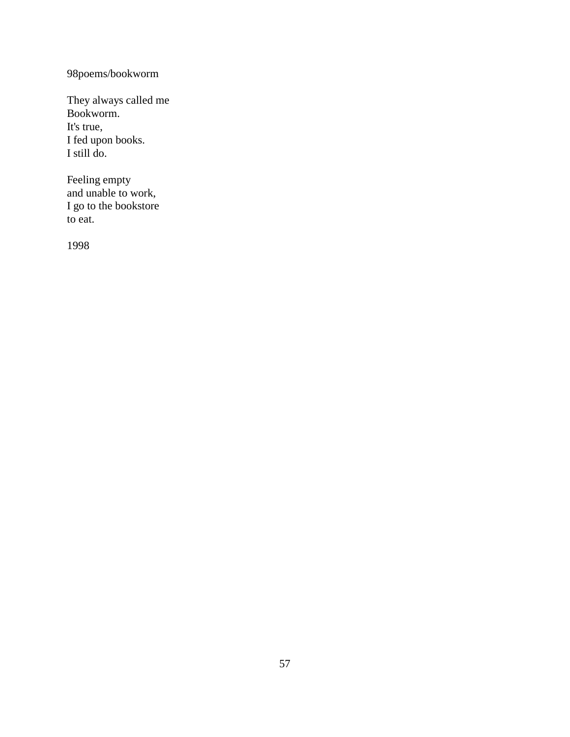# 98poems/bookworm

They always called me Bookworm. It's true, I fed upon books. I still do.

Feeling empty and unable to work, I go to the bookstore to eat.

1998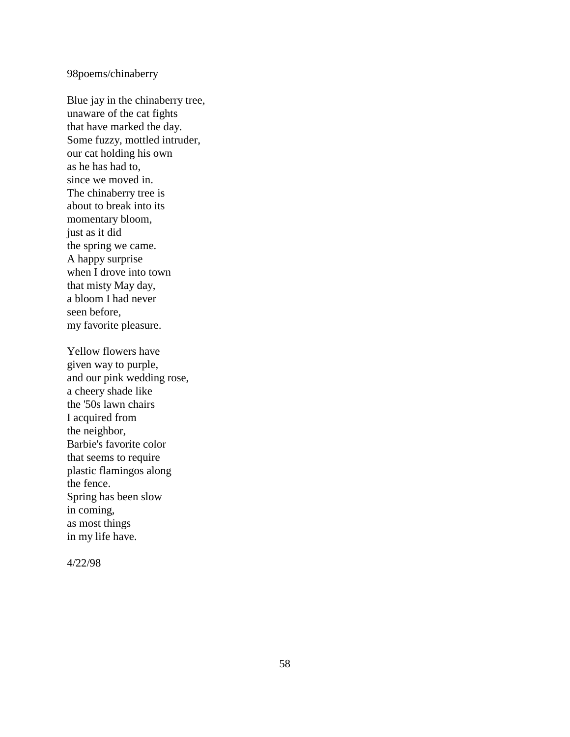# 98poems/chinaberry

Blue jay in the chinaberry tree, unaware of the cat fights that have marked the day. Some fuzzy, mottled intruder, our cat holding his own as he has had to, since we moved in. The chinaberry tree is about to break into its momentary bloom, just as it did the spring we came. A happy surprise when I drove into town that misty May day, a bloom I had never seen before, my favorite pleasure.

Yellow flowers have given way to purple, and our pink wedding rose, a cheery shade like the '50s lawn chairs I acquired from the neighbor, Barbie's favorite color that seems to require plastic flamingos along the fence. Spring has been slow in coming, as most things in my life have.

4/22/98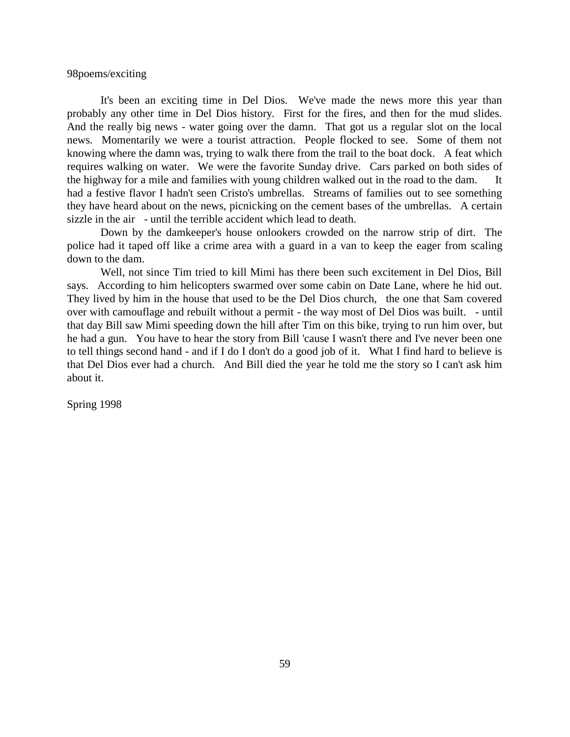98poems/exciting

It's been an exciting time in Del Dios. We've made the news more this year than probably any other time in Del Dios history. First for the fires, and then for the mud slides. And the really big news - water going over the damn. That got us a regular slot on the local news. Momentarily we were a tourist attraction. People flocked to see. Some of them not knowing where the damn was, trying to walk there from the trail to the boat dock. A feat which requires walking on water. We were the favorite Sunday drive. Cars parked on both sides of the highway for a mile and families with young children walked out in the road to the dam. It had a festive flavor I hadn't seen Cristo's umbrellas. Streams of families out to see something they have heard about on the news, picnicking on the cement bases of the umbrellas. A certain sizzle in the air - until the terrible accident which lead to death.

Down by the damkeeper's house onlookers crowded on the narrow strip of dirt. The police had it taped off like a crime area with a guard in a van to keep the eager from scaling down to the dam.

Well, not since Tim tried to kill Mimi has there been such excitement in Del Dios, Bill says. According to him helicopters swarmed over some cabin on Date Lane, where he hid out. They lived by him in the house that used to be the Del Dios church, the one that Sam covered over with camouflage and rebuilt without a permit - the way most of Del Dios was built. - until that day Bill saw Mimi speeding down the hill after Tim on this bike, trying to run him over, but he had a gun. You have to hear the story from Bill 'cause I wasn't there and I've never been one to tell things second hand - and if I do I don't do a good job of it. What I find hard to believe is that Del Dios ever had a church. And Bill died the year he told me the story so I can't ask him about it.

Spring 1998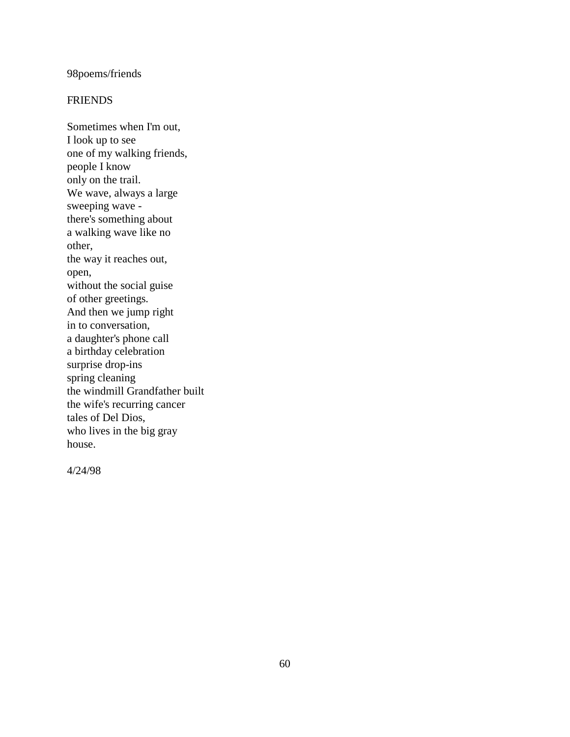### 98poems/friends

### **FRIENDS**

Sometimes when I'm out, I look up to see one of my walking friends, people I know only on the trail. We wave, always a large sweeping wave there's something about a walking wave like no other, the way it reaches out, open, without the social guise of other greetings. And then we jump right in to conversation, a daughter's phone call a birthday celebration surprise drop-ins spring cleaning the windmill Grandfather built the wife's recurring cancer tales of Del Dios, who lives in the big gray house.

4/24/98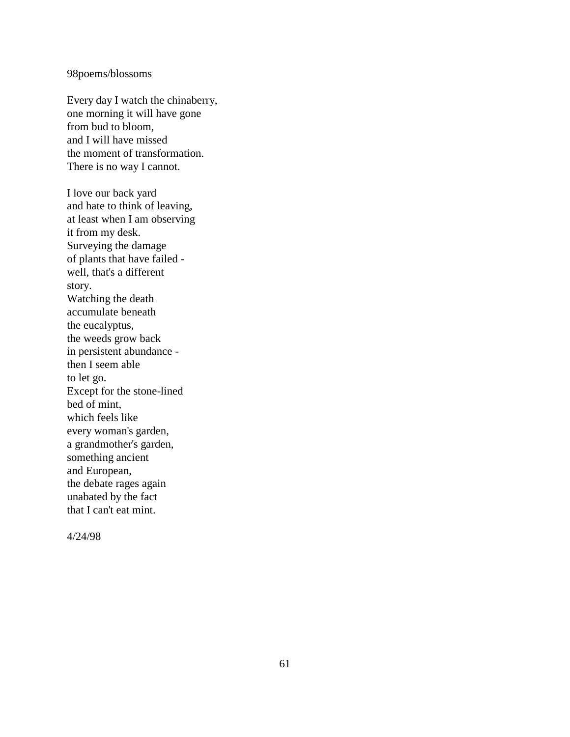### 98poems/blossoms

Every day I watch the chinaberry, one morning it will have gone from bud to bloom, and I will have missed the moment of transformation. There is no way I cannot.

I love our back yard and hate to think of leaving, at least when I am observing it from my desk. Surveying the damage of plants that have failed well, that's a different story. Watching the death accumulate beneath the eucalyptus, the weeds grow back in persistent abundance then I seem able to let go. Except for the stone-lined bed of mint, which feels like every woman's garden, a grandmother's garden, something ancient and European, the debate rages again unabated by the fact that I can't eat mint.

4/24/98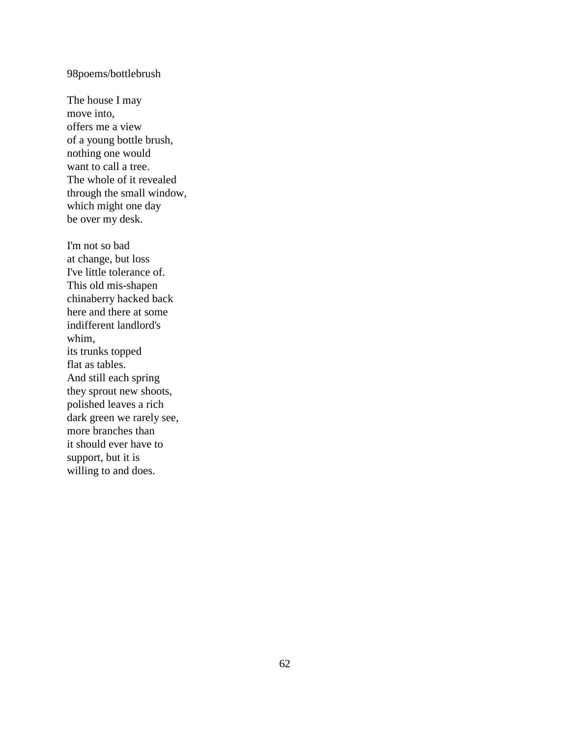### 98poems/bottlebrush

The house I may move into, offers me a view of a young bottle brush, nothing one would want to call a tree. The whole of it revealed through the small window, which might one day be over my desk.

I'm not so bad at change, but loss I've little tolerance of. This old mis-shapen chinaberry hacked back here and there at some indifferent landlord's whim, its trunks topped flat as tables. And still each spring they sprout new shoots, polished leaves a rich dark green we rarely see, more branches than it should ever have to support, but it is willing to and does.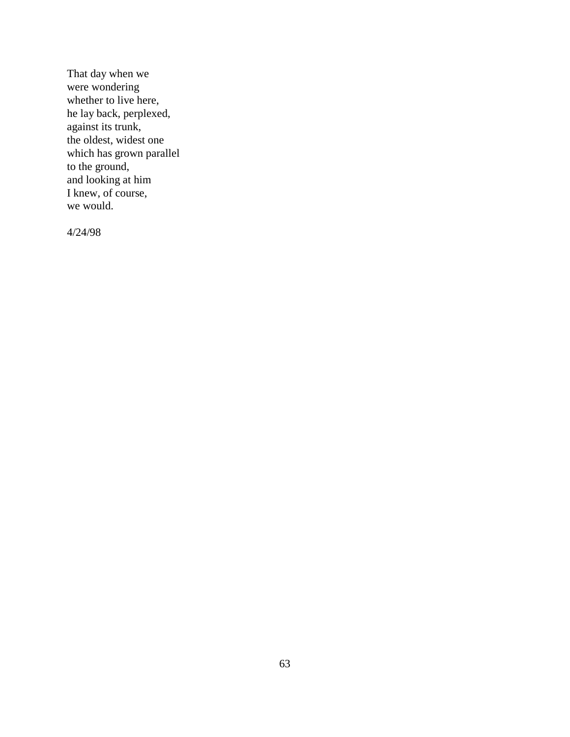That day when we were wondering whether to live here, he lay back, perplexed, against its trunk, the oldest, widest one which has grown parallel to the ground, and looking at him I knew, of course, we would.

4/24/98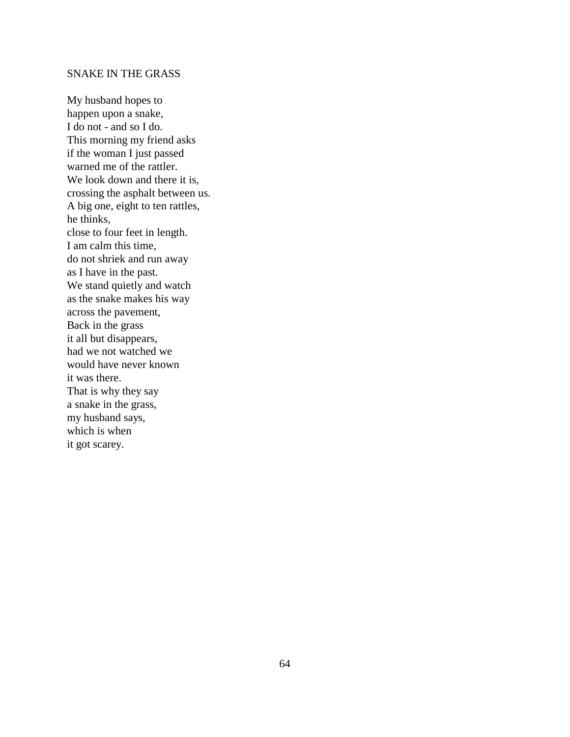### SNAKE IN THE GRASS

My husband hopes to happen upon a snake, I do not - and so I do. This morning my friend asks if the woman I just passed warned me of the rattler. We look down and there it is, crossing the asphalt between us. A big one, eight to ten rattles, he thinks, close to four feet in length. I am calm this time, do not shriek and run away as I have in the past. We stand quietly and watch as the snake makes his way across the pavement, Back in the grass it all but disappears, had we not watched we would have never known it was there. That is why they say a snake in the grass, my husband says, which is when it got scarey.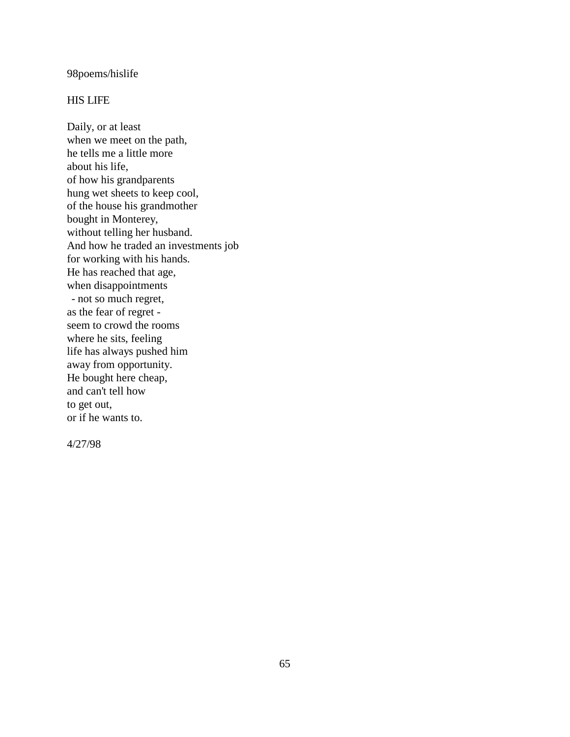### 98poems/hislife

### HIS LIFE

Daily, or at least when we meet on the path, he tells me a little more about his life, of how his grandparents hung wet sheets to keep cool, of the house his grandmother bought in Monterey, without telling her husband. And how he traded an investments job for working with his hands. He has reached that age, when disappointments - not so much regret, as the fear of regret seem to crowd the rooms where he sits, feeling life has always pushed him away from opportunity. He bought here cheap, and can't tell how to get out, or if he wants to.

4/27/98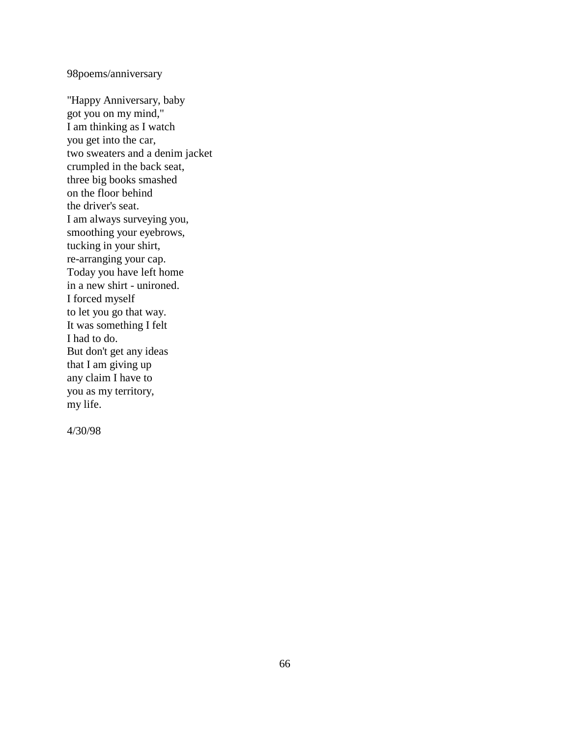98poems/anniversary

"Happy Anniversary, baby got you on my mind," I am thinking as I watch you get into the car, two sweaters and a denim jacket crumpled in the back seat, three big books smashed on the floor behind the driver's seat. I am always surveying you, smoothing your eyebrows, tucking in your shirt, re-arranging your cap. Today you have left home in a new shirt - unironed. I forced myself to let you go that way. It was something I felt I had to do. But don't get any ideas that I am giving up any claim I have to you as my territory, my life.

4/30/98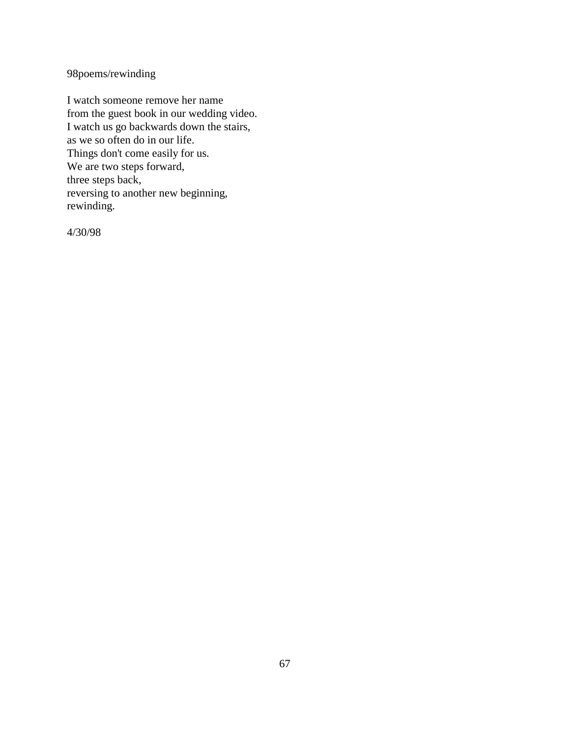98poems/rewinding

I watch someone remove her name from the guest book in our wedding video. I watch us go backwards down the stairs, as we so often do in our life. Things don't come easily for us. We are two steps forward, three steps back, reversing to another new beginning, rewinding.

4/30/98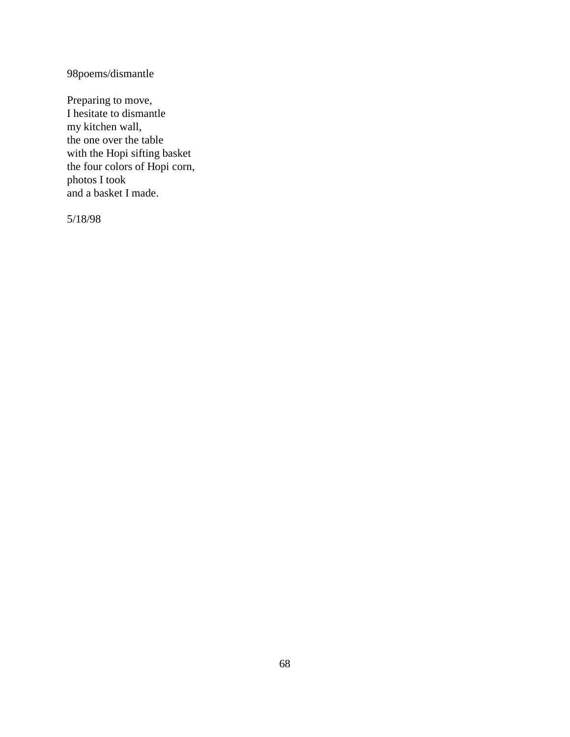98poems/dismantle

Preparing to move, I hesitate to dismantle my kitchen wall, the one over the table with the Hopi sifting basket the four colors of Hopi corn, photos I took and a basket I made.

5/18/98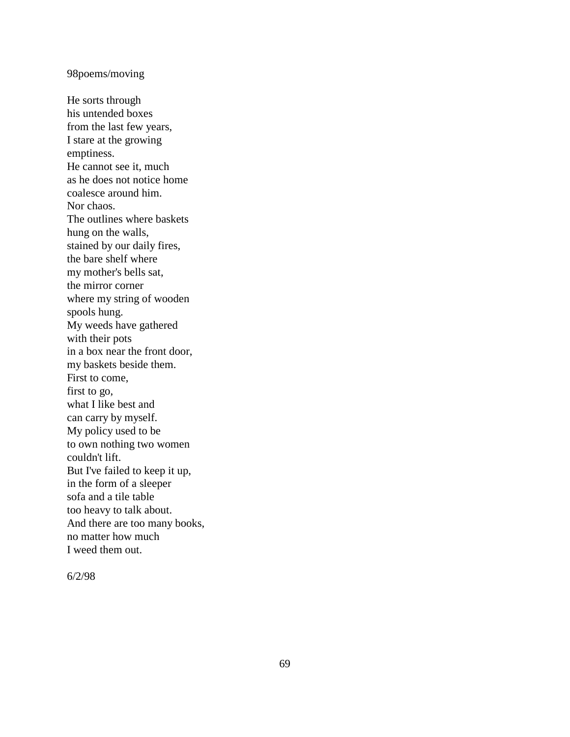### 98poems/moving

He sorts through his untended boxes from the last few years, I stare at the growing emptiness. He cannot see it, much as he does not notice home coalesce around him. Nor chaos. The outlines where baskets hung on the walls, stained by our daily fires, the bare shelf where my mother's bells sat, the mirror corner where my string of wooden spools hung. My weeds have gathered with their pots in a box near the front door, my baskets beside them. First to come, first to go, what I like best and can carry by myself. My policy used to be to own nothing two women couldn't lift. But I've failed to keep it up, in the form of a sleeper sofa and a tile table too heavy to talk about. And there are too many books, no matter how much I weed them out.

6/2/98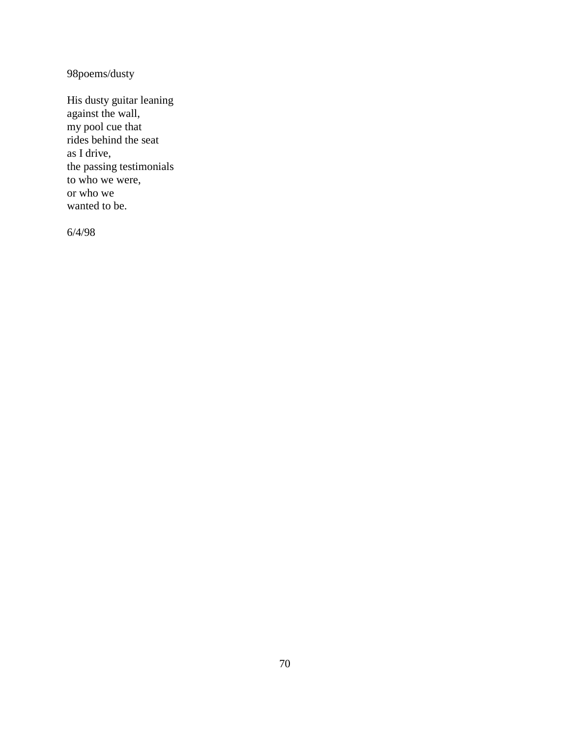98poems/dusty

His dusty guitar leaning against the wall, my pool cue that rides behind the seat as I drive, the passing testimonials to who we were, or who we wanted to be.

6/4/98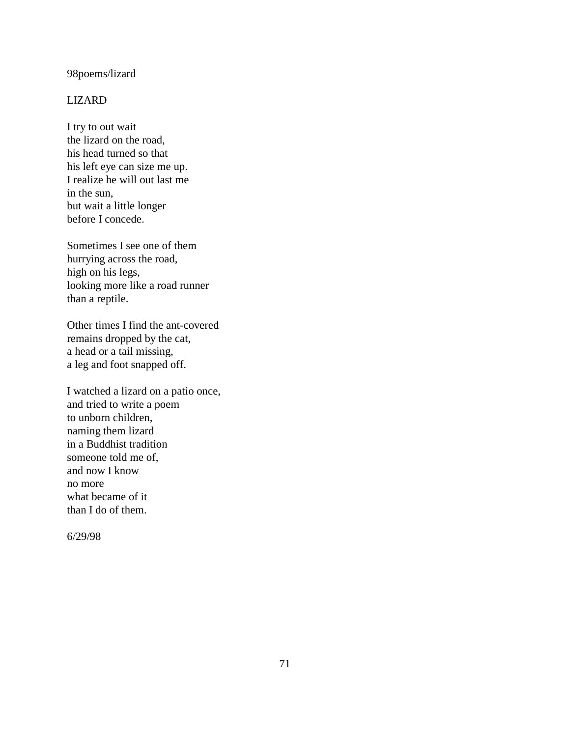### 98poems/lizard

### LIZARD

I try to out wait the lizard on the road, his head turned so that his left eye can size me up. I realize he will out last me in the sun, but wait a little longer before I concede.

Sometimes I see one of them hurrying across the road, high on his legs, looking more like a road runner than a reptile.

Other times I find the ant-covered remains dropped by the cat, a head or a tail missing, a leg and foot snapped off.

I watched a lizard on a patio once, and tried to write a poem to unborn children, naming them lizard in a Buddhist tradition someone told me of, and now I know no more what became of it than I do of them.

6/29/98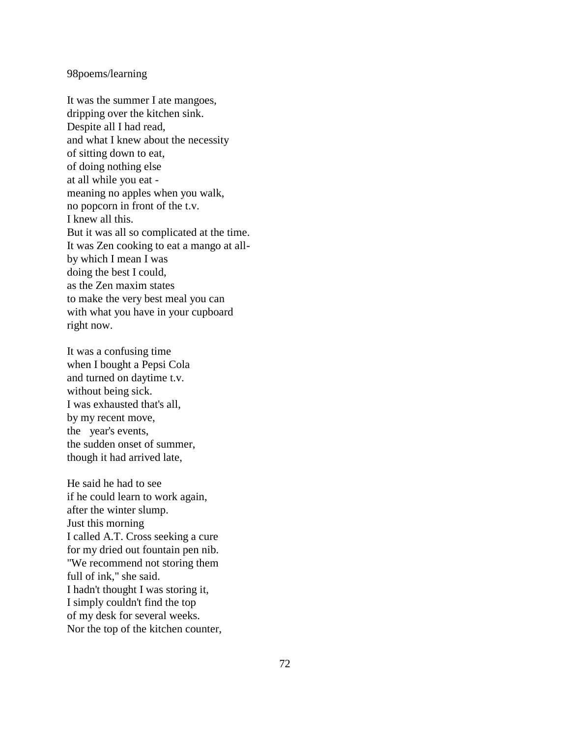### 98poems/learning

It was the summer I ate mangoes, dripping over the kitchen sink. Despite all I had read, and what I knew about the necessity of sitting down to eat, of doing nothing else at all while you eat meaning no apples when you walk, no popcorn in front of the t.v. I knew all this. But it was all so complicated at the time. It was Zen cooking to eat a mango at allby which I mean I was doing the best I could, as the Zen maxim states to make the very best meal you can with what you have in your cupboard right now.

It was a confusing time when I bought a Pepsi Cola and turned on daytime t.v. without being sick. I was exhausted that's all, by my recent move, the year's events, the sudden onset of summer, though it had arrived late,

He said he had to see if he could learn to work again, after the winter slump. Just this morning I called A.T. Cross seeking a cure for my dried out fountain pen nib. "We recommend not storing them full of ink," she said. I hadn't thought I was storing it, I simply couldn't find the top of my desk for several weeks. Nor the top of the kitchen counter,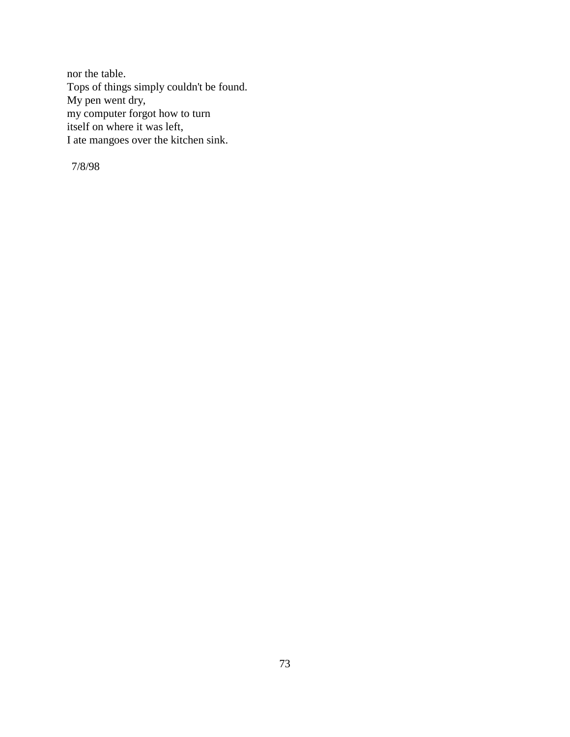nor the table. Tops of things simply couldn't be found. My pen went dry, my computer forgot how to turn itself on where it was left, I ate mangoes over the kitchen sink.

7/8/98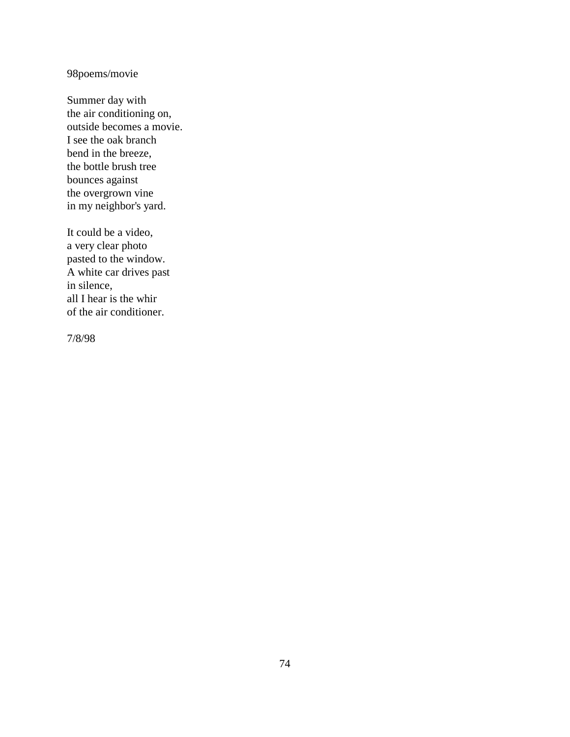# 98poems/movie

Summer day with the air conditioning on, outside becomes a movie. I see the oak branch bend in the breeze, the bottle brush tree bounces against the overgrown vine in my neighbor's yard.

It could be a video, a very clear photo pasted to the window. A white car drives past in silence, all I hear is the whir of the air conditioner.

7/8/98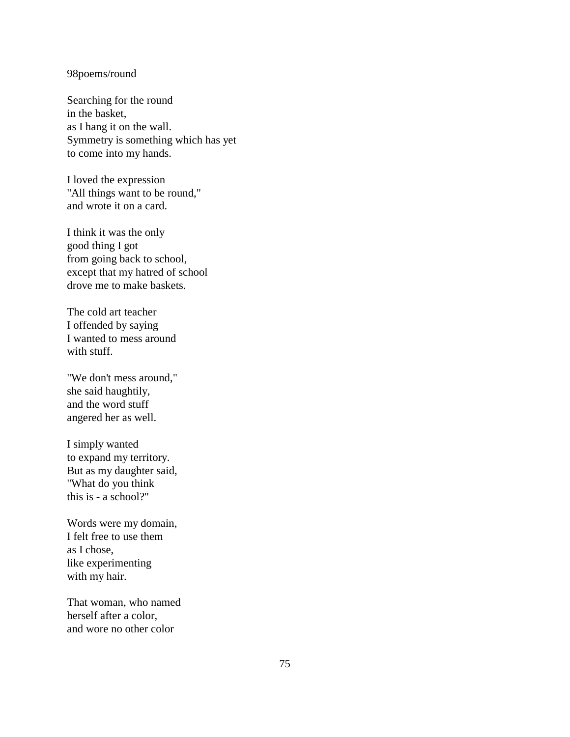### 98poems/round

Searching for the round in the basket, as I hang it on the wall. Symmetry is something which has yet to come into my hands.

I loved the expression "All things want to be round," and wrote it on a card.

I think it was the only good thing I got from going back to school, except that my hatred of school drove me to make baskets.

The cold art teacher I offended by saying I wanted to mess around with stuff.

"We don't mess around," she said haughtily, and the word stuff angered her as well.

I simply wanted to expand my territory. But as my daughter said, "What do you think this is - a school?"

Words were my domain, I felt free to use them as I chose, like experimenting with my hair.

That woman, who named herself after a color, and wore no other color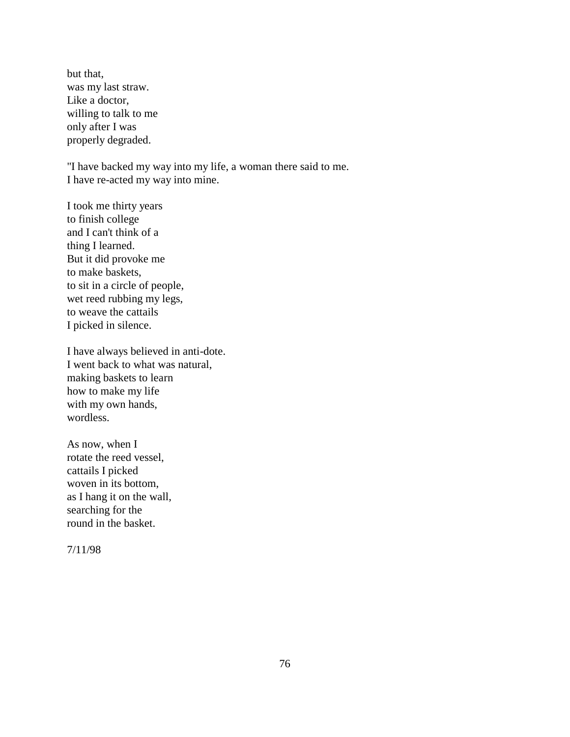but that, was my last straw. Like a doctor, willing to talk to me only after I was properly degraded.

"I have backed my way into my life, a woman there said to me. I have re-acted my way into mine.

I took me thirty years to finish college and I can't think of a thing I learned. But it did provoke me to make baskets, to sit in a circle of people, wet reed rubbing my legs, to weave the cattails I picked in silence.

I have always believed in anti-dote. I went back to what was natural, making baskets to learn how to make my life with my own hands, wordless.

As now, when I rotate the reed vessel, cattails I picked woven in its bottom, as I hang it on the wall, searching for the round in the basket.

7/11/98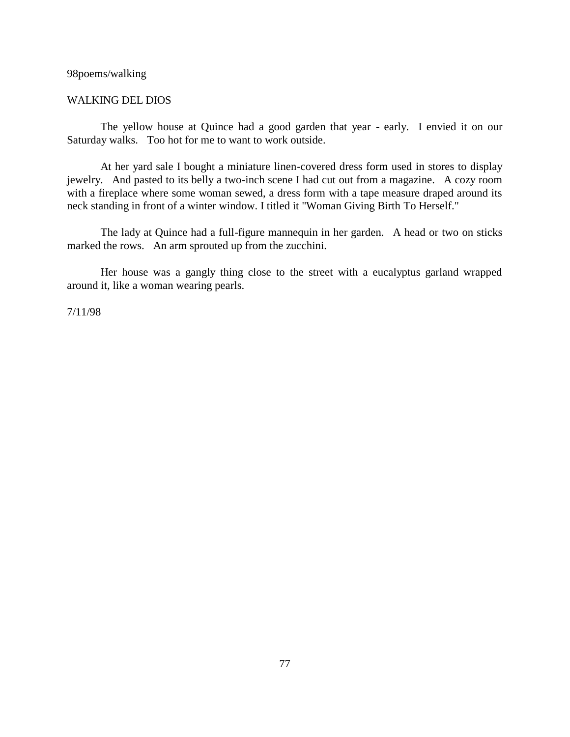### 98poems/walking

## WALKING DEL DIOS

The yellow house at Quince had a good garden that year - early. I envied it on our Saturday walks. Too hot for me to want to work outside.

At her yard sale I bought a miniature linen-covered dress form used in stores to display jewelry. And pasted to its belly a two-inch scene I had cut out from a magazine. A cozy room with a fireplace where some woman sewed, a dress form with a tape measure draped around its neck standing in front of a winter window. I titled it "Woman Giving Birth To Herself."

The lady at Quince had a full-figure mannequin in her garden. A head or two on sticks marked the rows. An arm sprouted up from the zucchini.

Her house was a gangly thing close to the street with a eucalyptus garland wrapped around it, like a woman wearing pearls.

7/11/98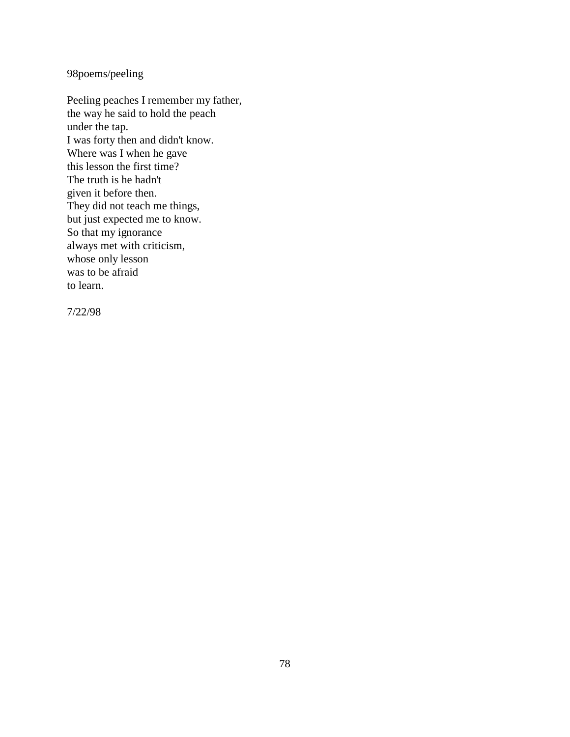98poems/peeling

Peeling peaches I remember my father, the way he said to hold the peach under the tap. I was forty then and didn't know. Where was I when he gave this lesson the first time? The truth is he hadn't given it before then. They did not teach me things, but just expected me to know. So that my ignorance always met with criticism, whose only lesson was to be afraid to learn.

7/22/98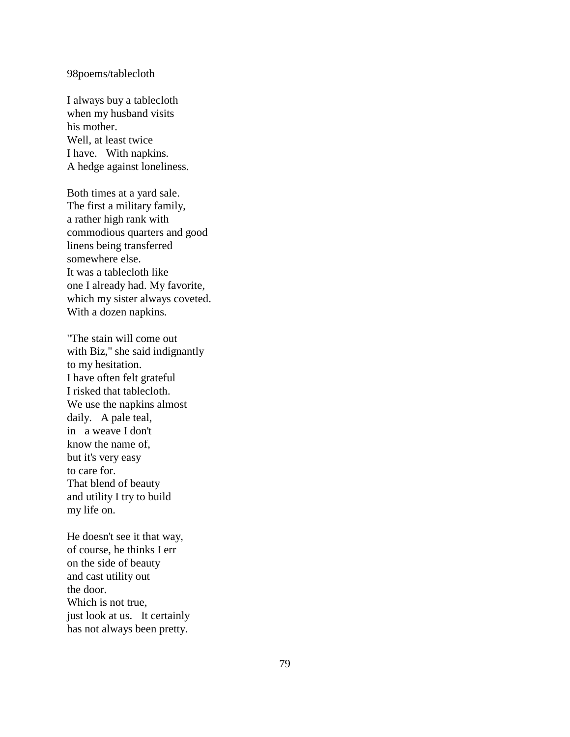### 98poems/tablecloth

I always buy a tablecloth when my husband visits his mother. Well, at least twice I have. With napkins. A hedge against loneliness.

Both times at a yard sale. The first a military family, a rather high rank with commodious quarters and good linens being transferred somewhere else. It was a tablecloth like one I already had. My favorite, which my sister always coveted. With a dozen napkins.

"The stain will come out with Biz," she said indignantly to my hesitation. I have often felt grateful I risked that tablecloth. We use the napkins almost daily. A pale teal, in a weave I don't know the name of, but it's very easy to care for. That blend of beauty and utility I try to build my life on.

He doesn't see it that way, of course, he thinks I err on the side of beauty and cast utility out the door. Which is not true, just look at us. It certainly has not always been pretty.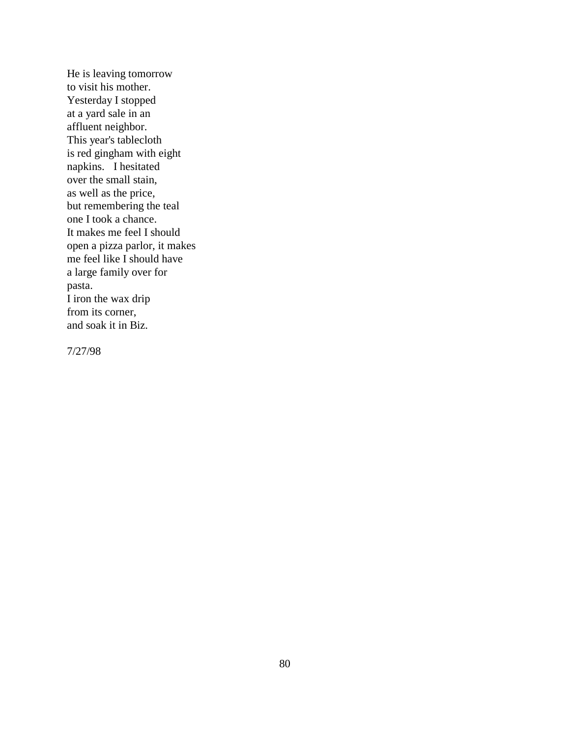He is leaving tomorrow to visit his mother. Yesterday I stopped at a yard sale in an affluent neighbor. This year's tablecloth is red gingham with eight napkins. I hesitated over the small stain, as well as the price, but remembering the teal one I took a chance. It makes me feel I should open a pizza parlor, it makes me feel like I should have a large family over for pasta. I iron the wax drip from its corner, and soak it in Biz.

7/27/98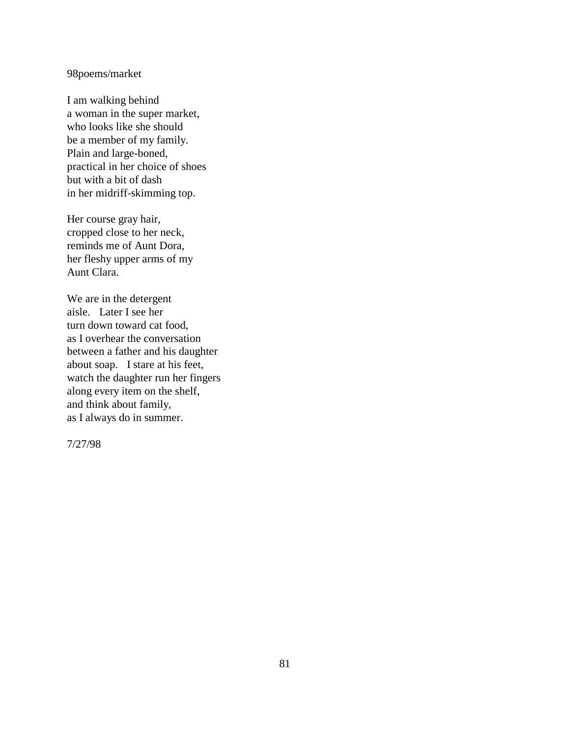# 98poems/market

I am walking behind a woman in the super market, who looks like she should be a member of my family. Plain and large-boned, practical in her choice of shoes but with a bit of dash in her midriff-skimming top.

Her course gray hair, cropped close to her neck, reminds me of Aunt Dora, her fleshy upper arms of my Aunt Clara.

We are in the detergent aisle. Later I see her turn down toward cat food, as I overhear the conversation between a father and his daughter about soap. I stare at his feet, watch the daughter run her fingers along every item on the shelf, and think about family, as I always do in summer.

7/27/98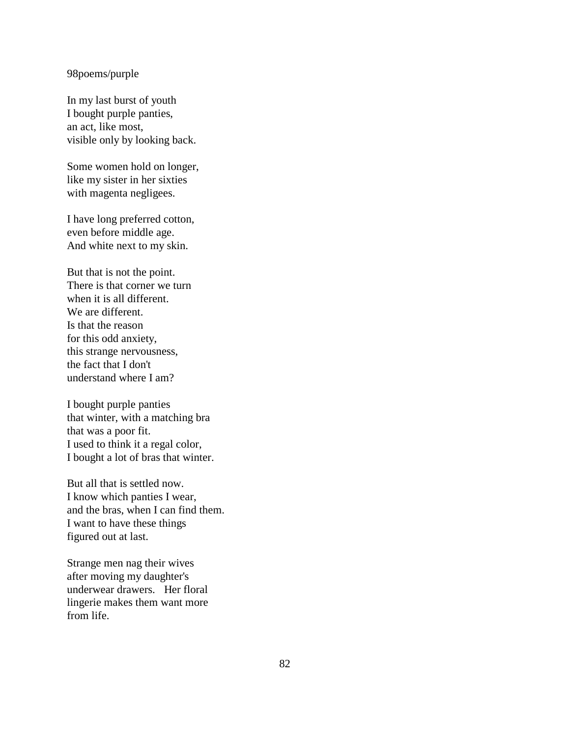### 98poems/purple

In my last burst of youth I bought purple panties, an act, like most, visible only by looking back.

Some women hold on longer, like my sister in her sixties with magenta negligees.

I have long preferred cotton, even before middle age. And white next to my skin.

But that is not the point. There is that corner we turn when it is all different. We are different. Is that the reason for this odd anxiety, this strange nervousness, the fact that I don't understand where I am?

I bought purple panties that winter, with a matching bra that was a poor fit. I used to think it a regal color, I bought a lot of bras that winter.

But all that is settled now. I know which panties I wear, and the bras, when I can find them. I want to have these things figured out at last.

Strange men nag their wives after moving my daughter's underwear drawers. Her floral lingerie makes them want more from life.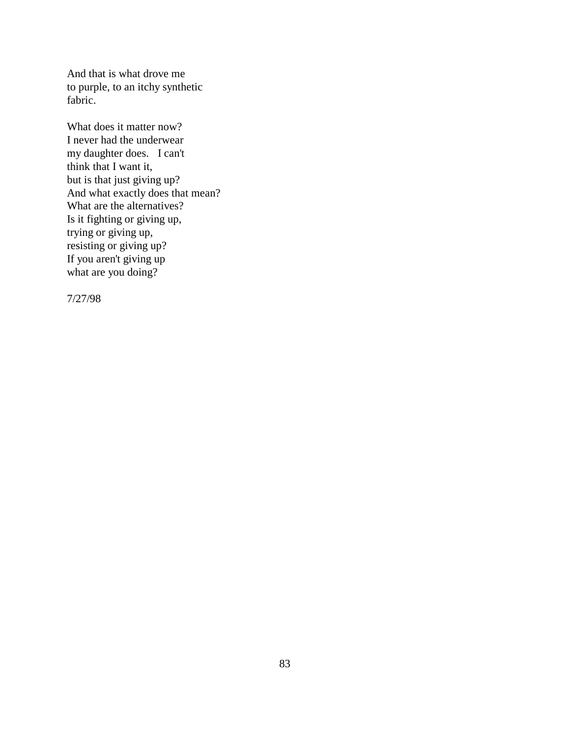And that is what drove me to purple, to an itchy synthetic fabric.

What does it matter now? I never had the underwear my daughter does. I can't think that I want it, but is that just giving up? And what exactly does that mean? What are the alternatives? Is it fighting or giving up, trying or giving up, resisting or giving up? If you aren't giving up what are you doing?

7/27/98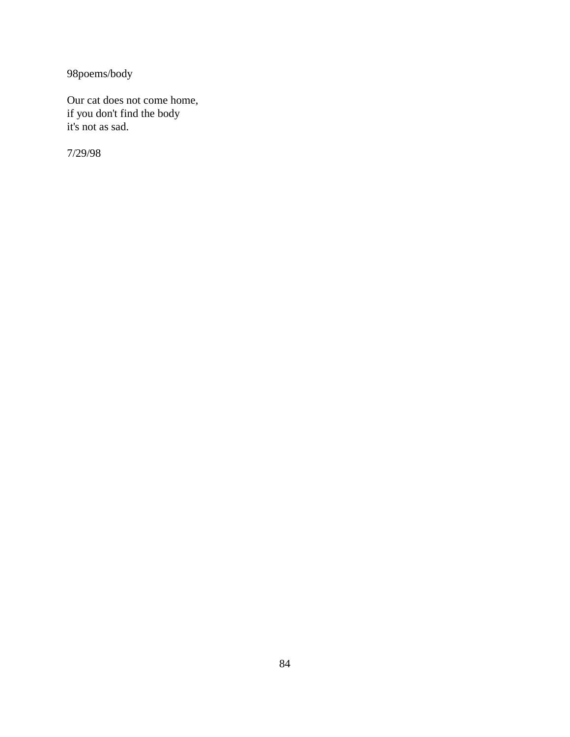98poems/body

Our cat does not come home, if you don't find the body it's not as sad.

7/29/98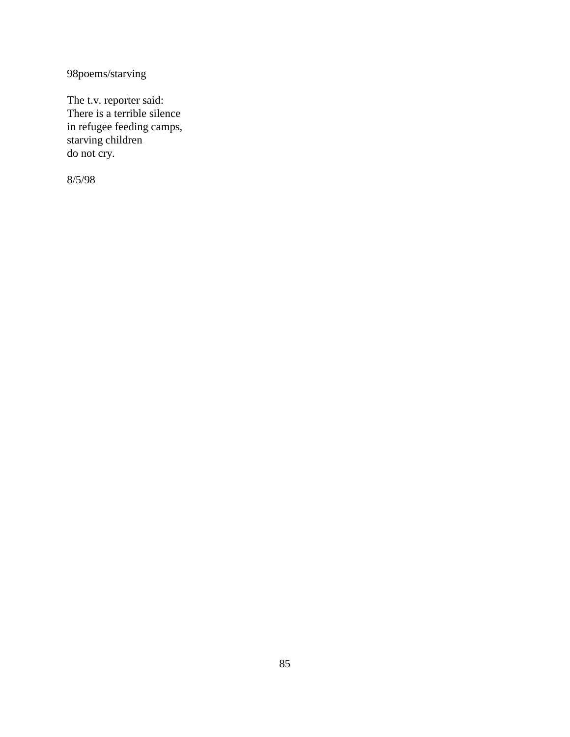98poems/starving

The t.v. reporter said: There is a terrible silence in refugee feeding camps, starving children do not cry.

8/5/98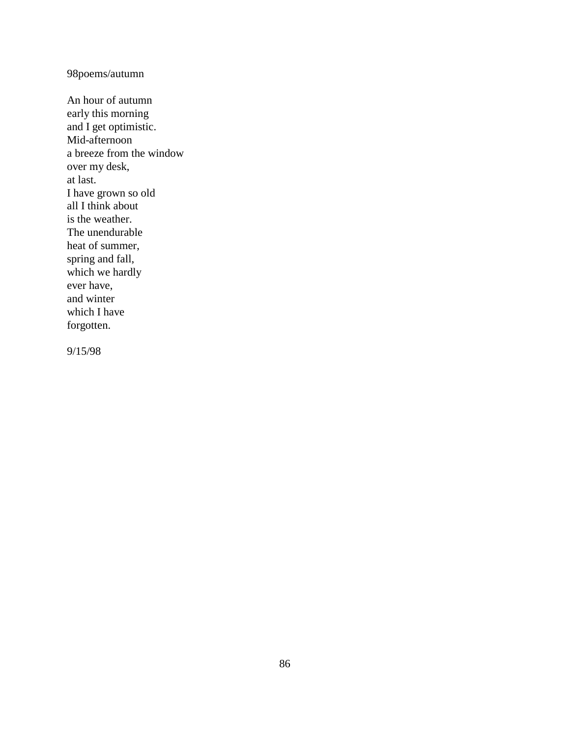98poems/autumn

An hour of autumn early this morning and I get optimistic. Mid-afternoon a breeze from the window over my desk, at last. I have grown so old all I think about is the weather. The unendurable heat of summer, spring and fall, which we hardly ever have, and winter which I have forgotten.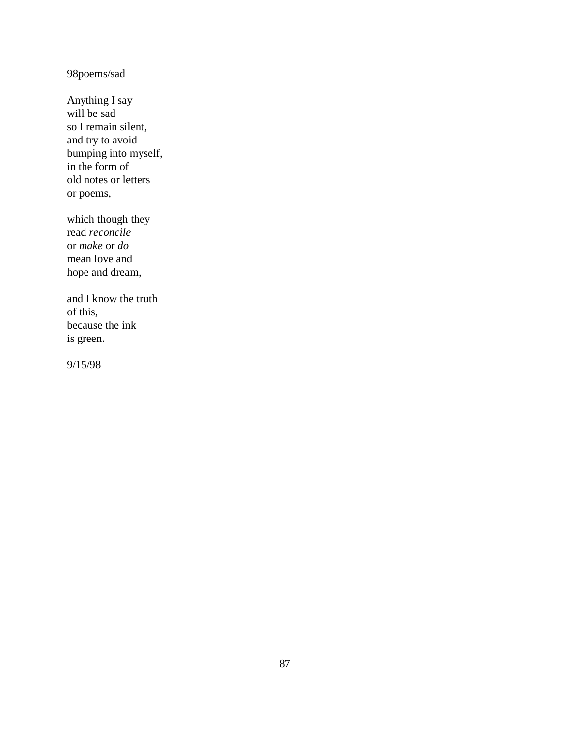98poems/sad

Anything I say will be sad so I remain silent, and try to avoid bumping into myself, in the form of old notes or letters or poems,

which though they read *reconcile* or *make* or *do* mean love and hope and dream,

and I know the truth of this, because the ink is green.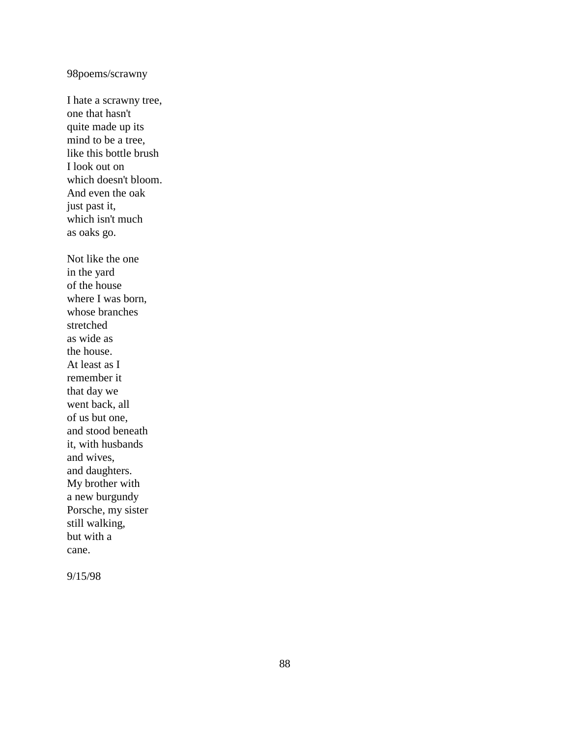# 98poems/scrawny

I hate a scrawny tree, one that hasn't quite made up its mind to be a tree, like this bottle brush I look out on which doesn't bloom. And even the oak just past it, which isn't much as oaks go. Not like the one in the yard of the house where I was born, whose branches stretched as wide as the house. At least as I remember it that day we went back, all of us but one, and stood beneath it, with husbands and wives, and daughters. My brother with a new burgundy Porsche, my sister

still walking, but with a cane.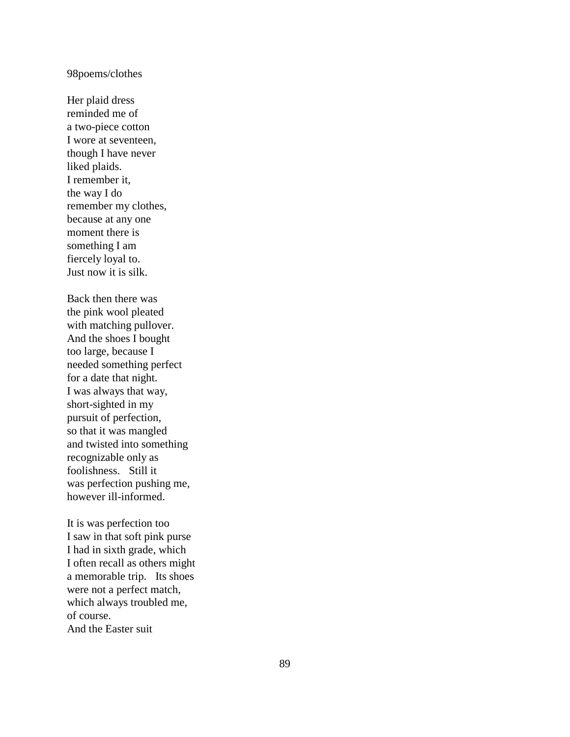#### 98poems/clothes

Her plaid dress reminded me of a two -piece cotton I wore at seventeen, though I have never liked plaids. I remember it, the way I do remember my clothes, because at any one moment there is something I am fiercely loyal to. Just now it is silk.

Back then there was the pink wool pleated with matching pullover. And the shoes I bought too large, because I needed something perfect for a date that night. I was always that way, short -sighted in my pursuit of perfection, so that it was mangled and twisted into something recognizable only as foolishness. Still it was perfection pushing me, however ill -informed.

It is was perfection too I saw in that soft pink purse I had in sixth grade, which I often recall as others might a memorable trip. Its shoes were not a perfect match, which always troubled me, of course. And the Easter suit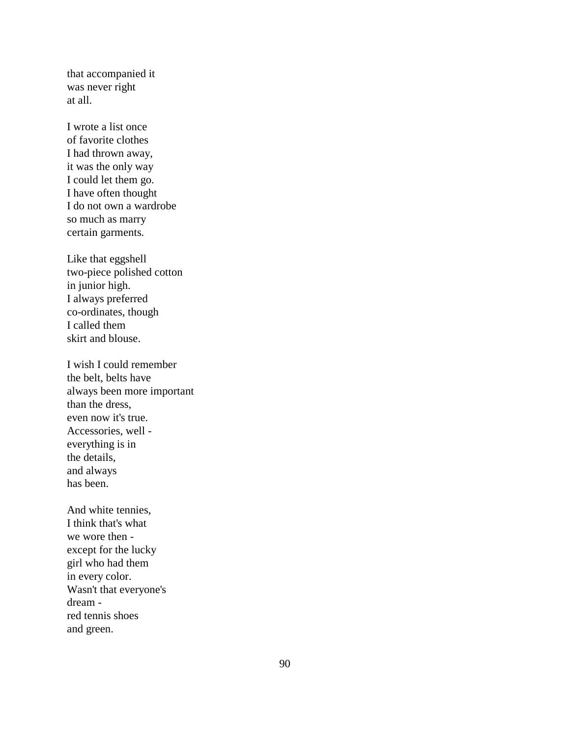that accompanied it was never right at all.

I wrote a list once of favorite clothes I had thrown away, it was the only way I could let them go. I have often thought I do not own a wardrobe so much as marry certain garments.

Like that eggshell two-piece polished cotton in junior high. I always preferred co-ordinates, though I called them skirt and blouse.

I wish I could remember the belt, belts have always been more important than the dress, even now it's true. Accessories, well everything is in the details, and always has been.

And white tennies, I think that's what we wore then except for the lucky girl who had them in every color. Wasn't that everyone's dream red tennis shoes and green.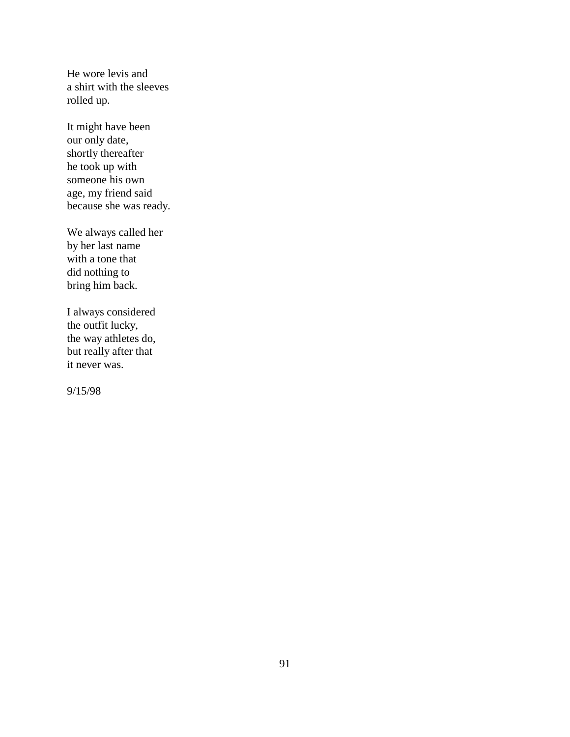He wore levis and a shirt with the sleeves rolled up.

It might have been our only date, shortly thereafter he took up with someone his own age, my friend said because she was ready.

We always called her by her last name with a tone that did nothing to bring him back.

I always considered the outfit lucky, the way athletes do, but really after that it never was.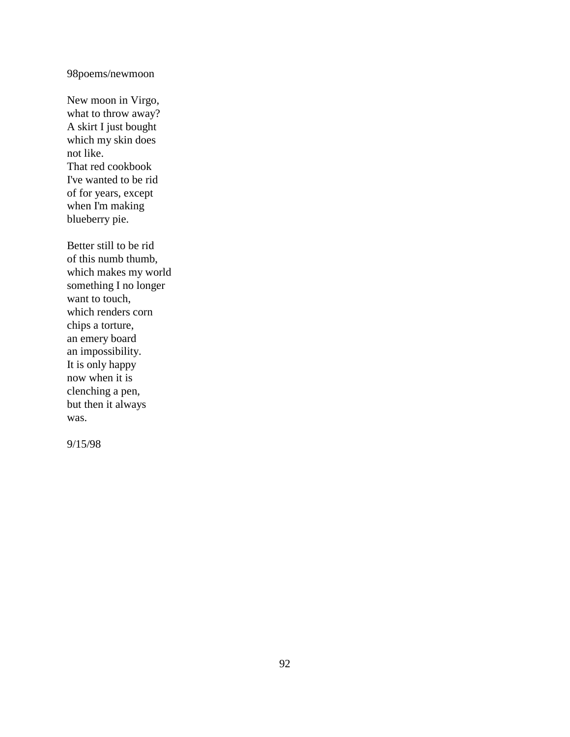98poems/newmoon

New moon in Virgo, what to throw away? A skirt I just bought which my skin does not like. That red cookbook I've wanted to be rid of for years, except when I'm making blueberry pie.

Better still to be rid of this numb thumb, which makes my world something I no longer want to touch, which renders corn chips a torture, an emery board an impossibility. It is only happy now when it is clenching a pen, but then it always was.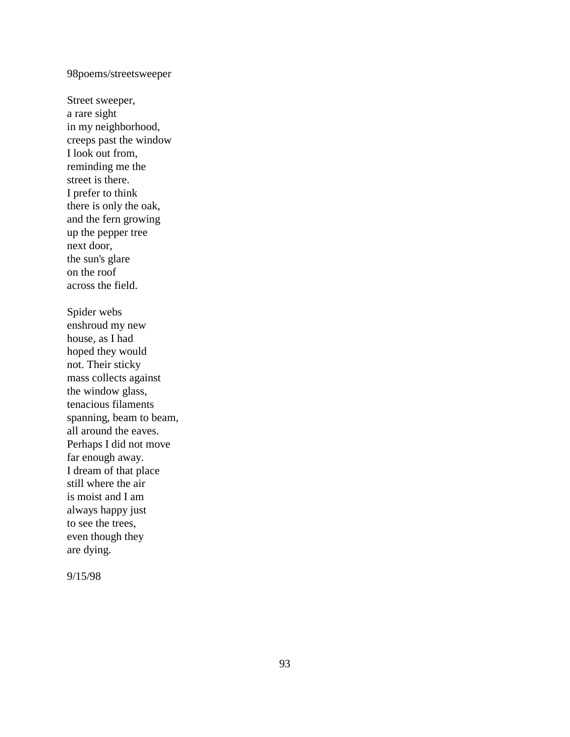# 98poems/streetsweeper

Street sweeper, a rare sight in my neighborhood, creeps past the window I look out from, reminding me the street is there. I prefer to think there is only the oak, and the fern growing up the pepper tree next door, the sun's glare on the roof across the field. Spider webs enshroud my new house, as I had hoped they would not. Their sticky mass collects against the window glass, tenacious filaments spanning, beam to beam, all around the eaves. Perhaps I did not move far enough away. I dream of that place still where the air is moist and I am always happy just to see the trees, even though they are dying.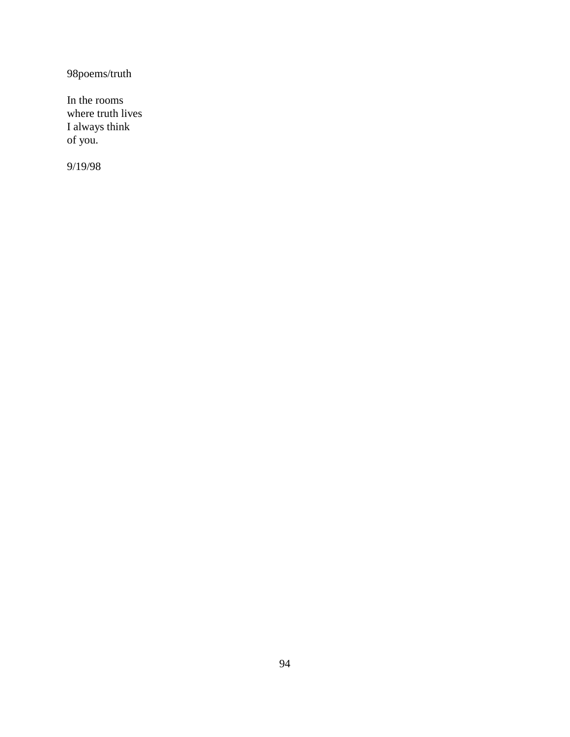98poems/truth

In the rooms where truth lives I always think of you.

9/19/98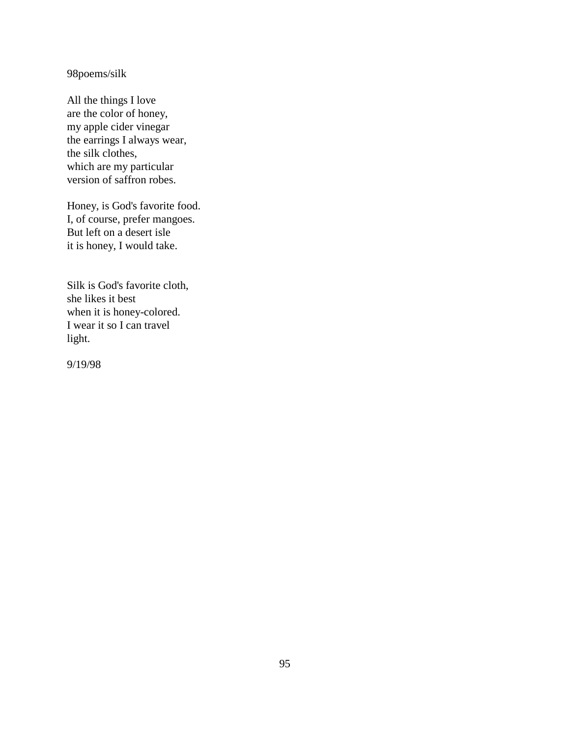98poems/silk

All the things I love are the color of honey, my apple cider vinegar the earrings I always wear, the silk clothes, which are my particular version of saffron robes.

Honey, is God's favorite food. I, of course, prefer mangoes. But left on a desert isle it is honey, I would take.

Silk is God's favorite cloth, she likes it best when it is honey-colored. I wear it so I can travel light.

9/19/98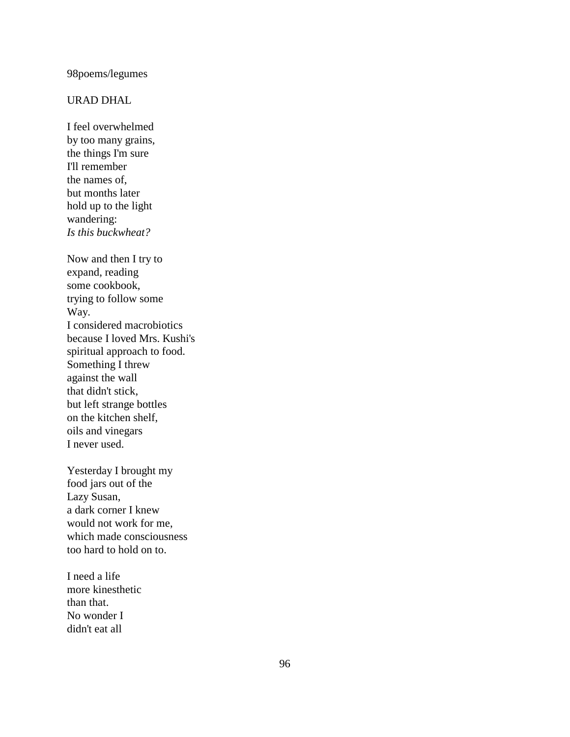# 98poems/legumes

### URAD DHAL

I feel overwhelmed by too many grains, the things I'm sure I'll remember the names of, but months later hold up to the light wandering: *Is this buckwheat?*

Now and then I try to expand, reading some cookbook, trying to follow some Way. I considered macrobiotics because I loved Mrs. Kushi's spiritual approach to food. Something I threw against the wall that didn't stick, but left strange bottles on the kitchen shelf, oils and vinegars I never used.

Yesterday I brought my food jars out of the Lazy Susan, a dark corner I knew would not work for me, which made consciousness too hard to hold on to.

I need a life more kinesthetic than that. No wonder I didn't eat all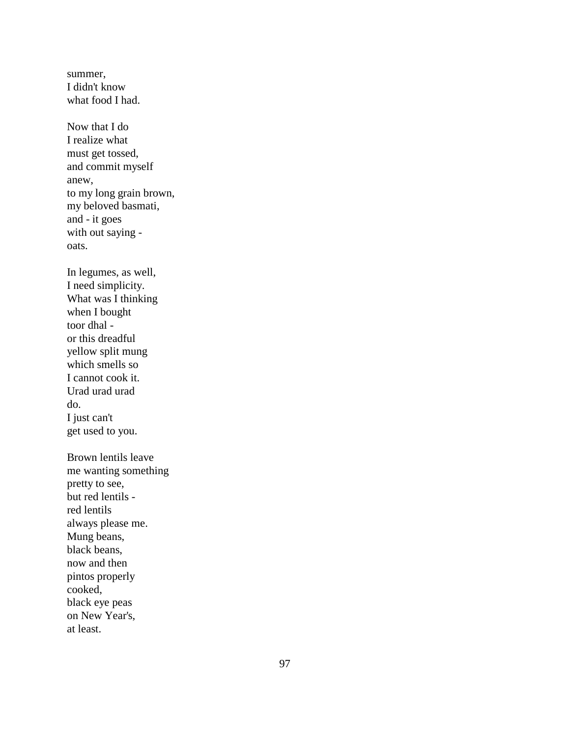summer, I didn't know what food I had.

Now that I do I realize what must get tossed, and commit myself anew, to my long grain brown, my beloved basmati, and - it goes with out saying oats.

In legumes, as well, I need simplicity. What was I thinking when I bought toor dhal or this dreadful yellow split mung which smells so I cannot cook it. Urad urad urad do. I just can't get used to you.

Brown lentils leave me wanting something pretty to see, but red lentils red lentils always please me. Mung beans, black beans, now and then pintos properly cooked, black eye peas on New Year's, at least.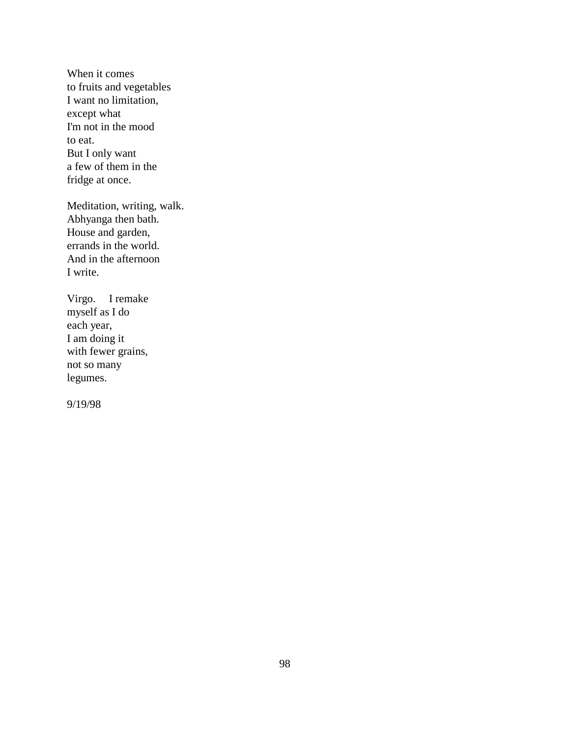When it comes to fruits and vegetables I want no limitation, except what I'm not in the mood to eat. But I only want a few of them in the fridge at once.

Meditation, writing, walk. Abhyanga then bath. House and garden, errands in the world. And in the afternoon I write.

Virgo. I remake myself as I do each year, I am doing it with fewer grains, not so many legumes.

9/19/98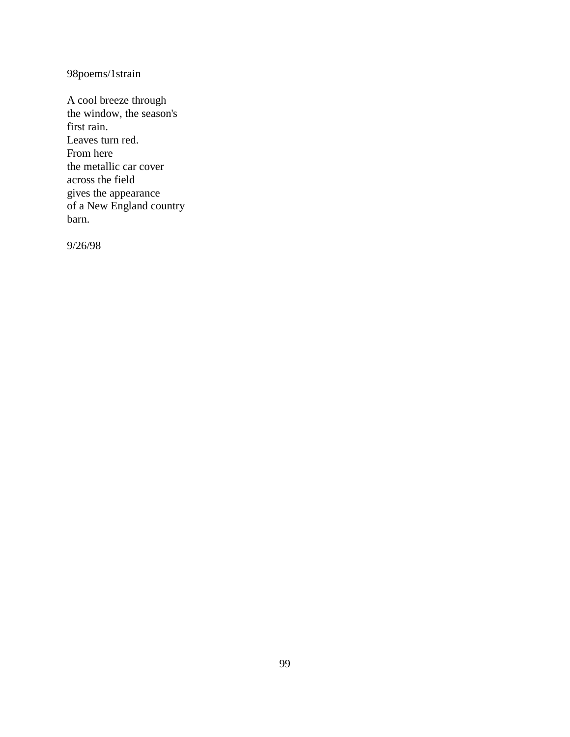98poems/1strain

A cool breeze through the window, the season's first rain. Leaves turn red. From here the metallic car cover across the field gives the appearance of a New England country barn.

9/26/98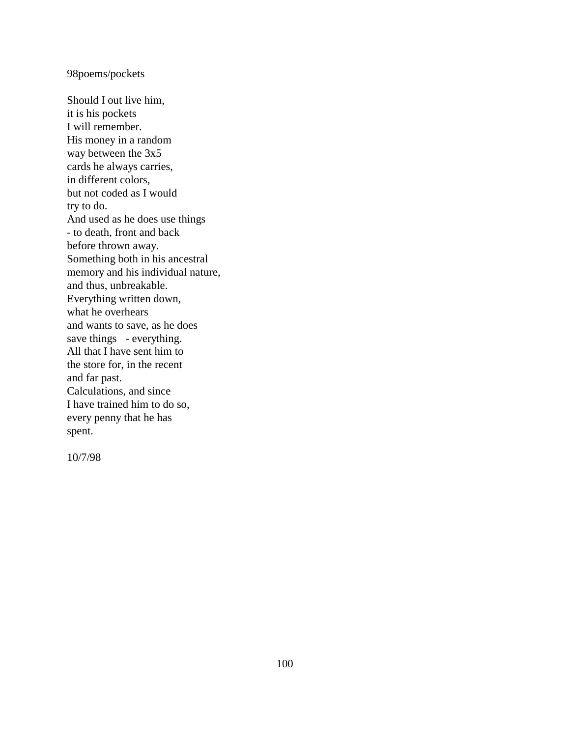### 98poems/pockets

Should I out live him, it is his pockets I will remember. His money in a random way between the 3x5 cards he always carries, in different colors, but not coded as I would try to do. And used as he does use things - to death, front and back before thrown away. Something both in his ancestral memory and his individual nature, and thus, unbreakable. Everything written down, what he overhears and wants to save, as he does save things - everything. All that I have sent him to the store for, in the recent and far past. Calculations, and since I have trained him to do so, every penny that he has spent.

10/7/98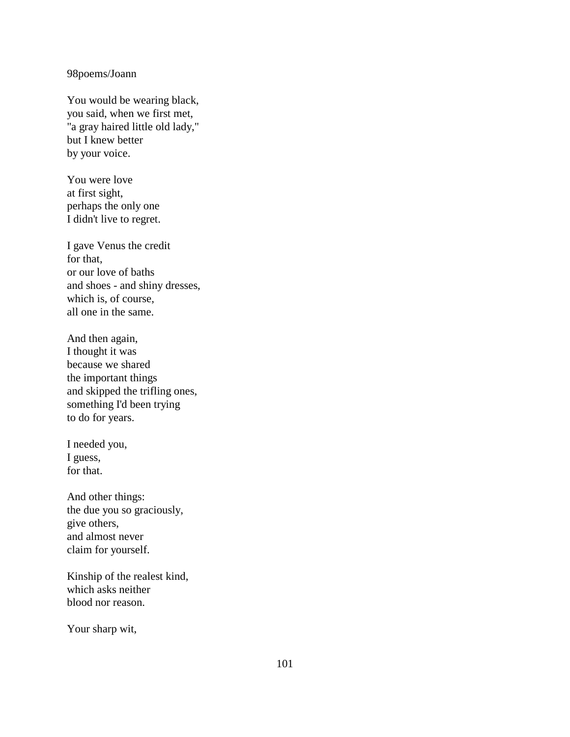### 98poems/Joann

You would be wearing black, you said, when we first met, "a gray haired little old lady," but I knew better by your voice.

You were love at first sight, perhaps the only one I didn't live to regret.

I gave Venus the credit for that, or our love of baths and shoes - and shiny dresses, which is, of course, all one in the same.

And then again, I thought it was because we shared the important things and skipped the trifling ones, something I'd been trying to do for years.

I needed you, I guess, for that.

And other things: the due you so graciously, give others, and almost never claim for yourself.

Kinship of the realest kind, which asks neither blood nor reason.

Your sharp wit,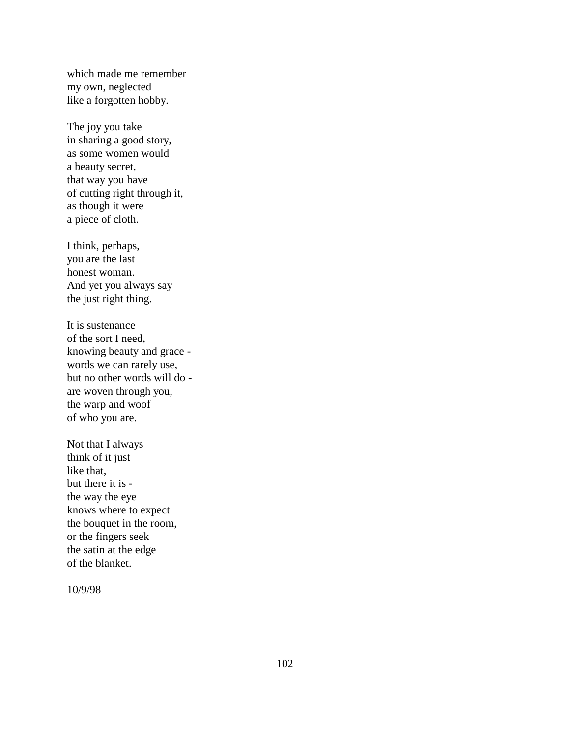which made me remember my own, neglected like a forgotten hobby.

The joy you take in sharing a good story, as some women would a beauty secret, that way you have of cutting right through it, as though it were a piece of cloth.

I think, perhaps, you are the last honest woman. And yet you always say the just right thing.

It is sustenance of the sort I need, knowing beauty and grace words we can rarely use, but no other words will do are woven through you, the warp and woof of who you are.

Not that I always think of it just like that, but there it is the way the eye knows where to expect the bouquet in the room, or the fingers seek the satin at the edge of the blanket.

10/9/98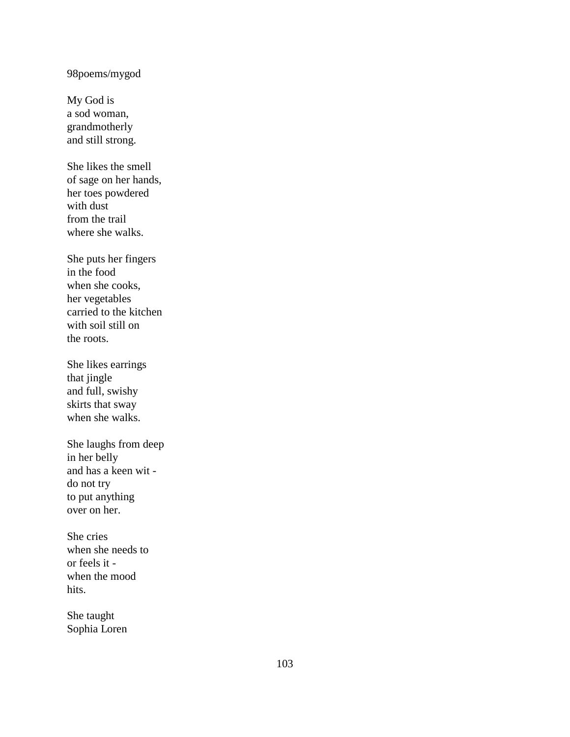# 98poems/mygod

My God is a sod woman, grandmotherly and still strong.

She likes the smell of sage on her hands, her toes powdered with dust from the trail where she walks.

She puts her fingers in the food when she cooks, her vegetables carried to the kitchen with soil still on the roots.

She likes earrings that jingle and full, swishy skirts that sway when she walks.

She laughs from deep in her belly and has a keen wit do not try to put anything over on her.

She cries when she needs to or feels it when the mood hits.

She taught Sophia Loren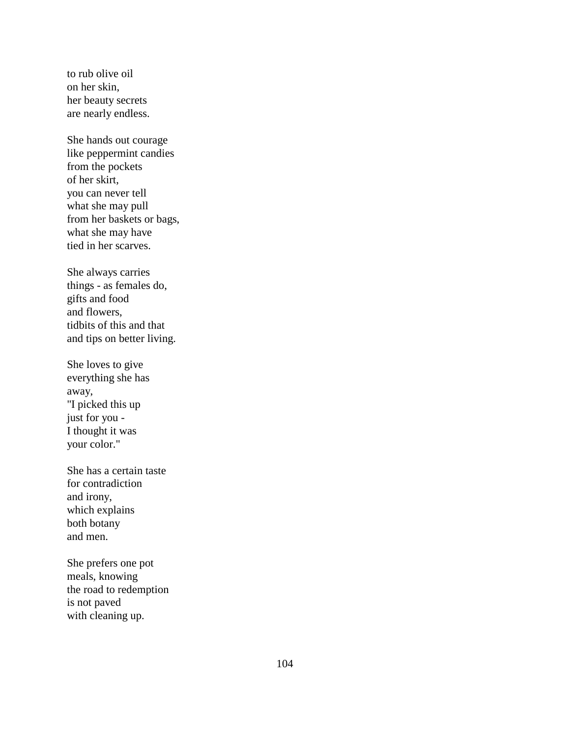to rub olive oil on her skin, her beauty secrets are nearly endless.

She hands out courage like peppermint candies from the pockets of her skirt, you can never tell what she may pull from her baskets or bags, what she may have tied in her scarves.

She always carries things - as females do, gifts and food and flowers, tidbits of this and that and tips on better living.

She loves to give everything she has away, "I picked this up just for you - I thought it was your color."

She has a certain taste for contradiction and irony, which explains both botany and men.

She prefers one pot meals, knowing the road to redemption is not paved with cleaning up.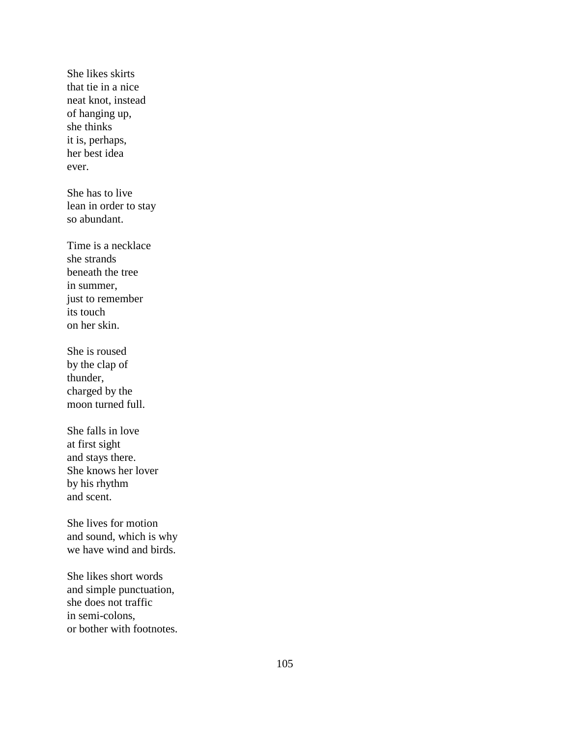She likes skirts that tie in a nice neat knot, instead of hanging up, she thinks it is, perhaps, her best idea ever.

She has to live lean in order to stay so abundant.

Time is a necklace she strands beneath the tree in summer, just to remember its touch on her skin.

She is roused by the clap of thunder, charged by the moon turned full.

She falls in love at first sight and stays there. She knows her lover by his rhythm and scent.

She lives for motion and sound, which is why we have wind and birds.

She likes short words and simple punctuation, she does not traffic in semi-colons, or bother with footnotes.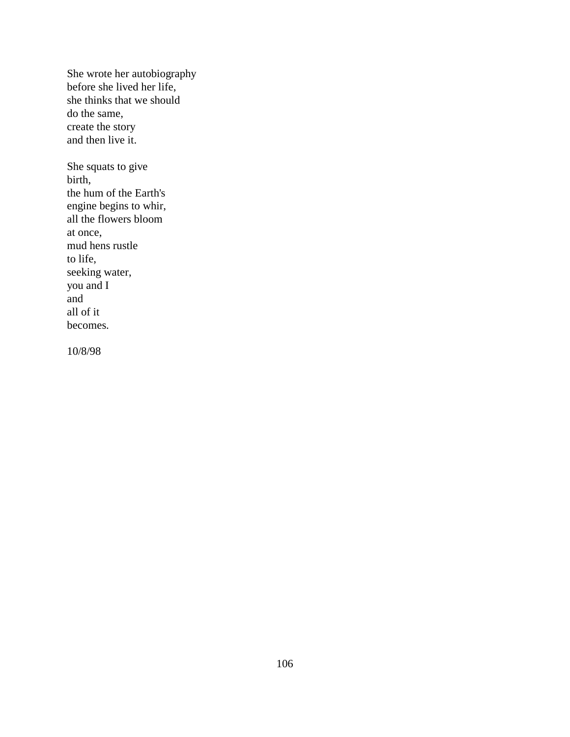She wrote her autobiography before she lived her life, she thinks that we should do the same, create the story and then live it.

She squats to give birth, the hum of the Earth's engine begins to whir, all the flowers bloom at once, mud hens rustle to life, seeking water, you and I and all of it becomes.

10/8/98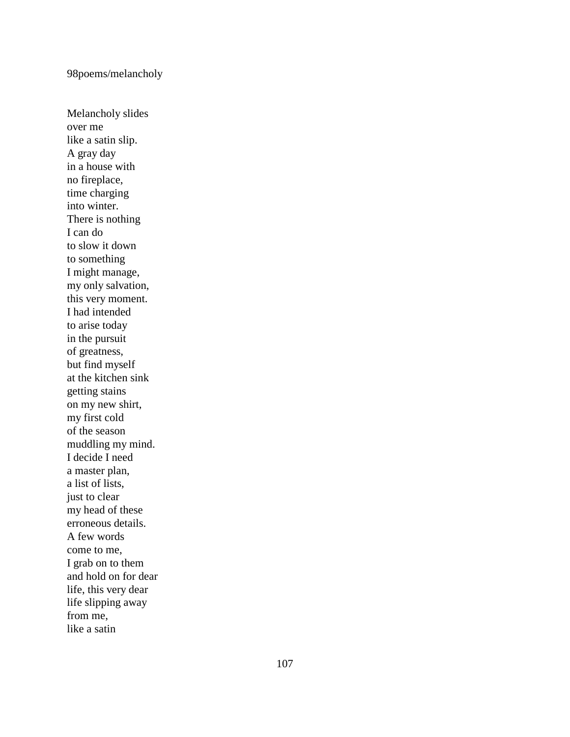# 98poems/melancholy

Melancholy slides over me like a satin slip. A gray day in a house with no fireplace, time charging into winter. There is nothing I can do to slow it down to something I might manage, my only salvation, this very moment. I had intended to arise today in the pursuit of greatness, but find myself at the kitchen sink getting stains on my new shirt, my first cold of the season muddling my mind. I decide I need a master plan, a list of lists, just to clear my head of these erroneous details. A few words come to me, I grab on to them and hold on for dear life, this very dear life slipping away from me, like a satin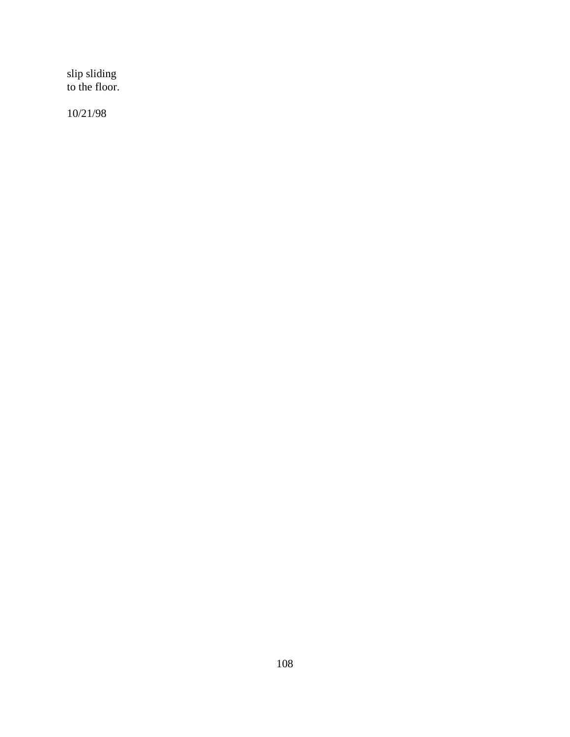slip sliding to the floor.

10/21/98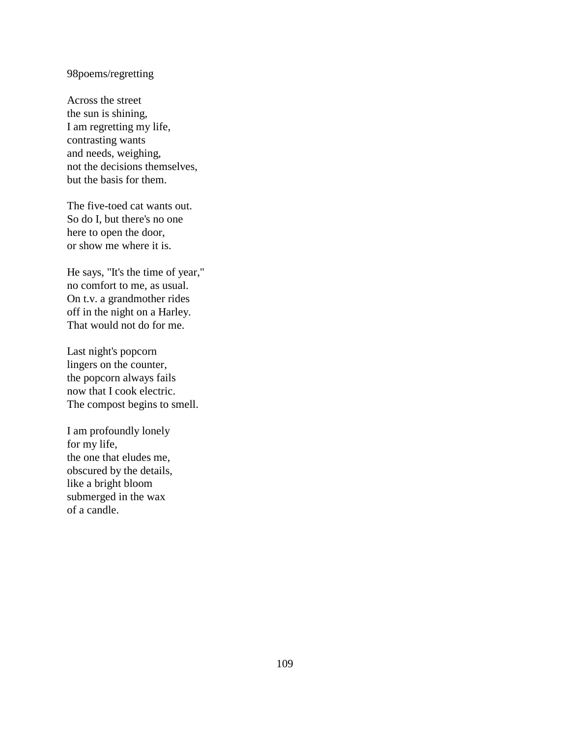## 98poems/regretting

Across the street the sun is shining, I am regretting my life, contrasting wants and needs, weighing, not the decisions themselves, but the basis for them.

The five-toed cat wants out. So do I, but there's no one here to open the door, or show me where it is.

He says, "It's the time of year," no comfort to me, as usual. On t.v. a grandmother rides off in the night on a Harley. That would not do for me.

Last night's popcorn lingers on the counter, the popcorn always fails now that I cook electric. The compost begins to smell.

I am profoundly lonely for my life, the one that eludes me, obscured by the details, like a bright bloom submerged in the wax of a candle.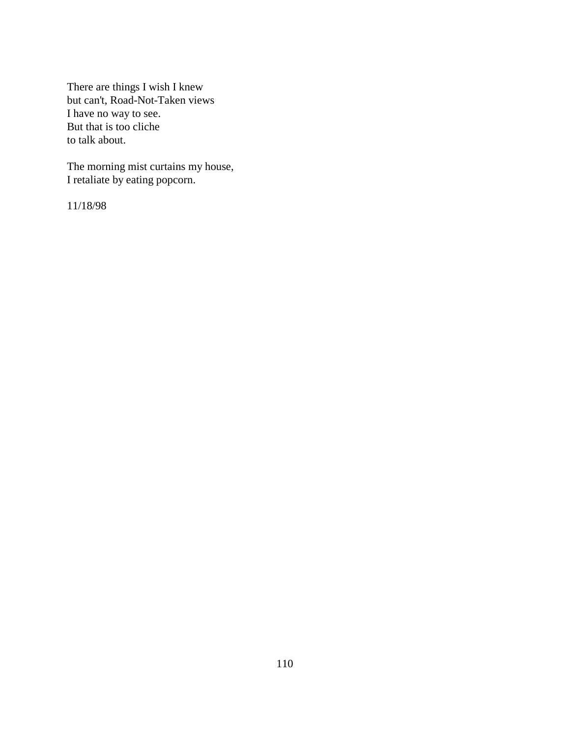There are things I wish I knew but can't, Road-Not-Taken views I have no way to see. But that is too cliche to talk about.

The morning mist curtains my house, I retaliate by eating popcorn.

11/18/98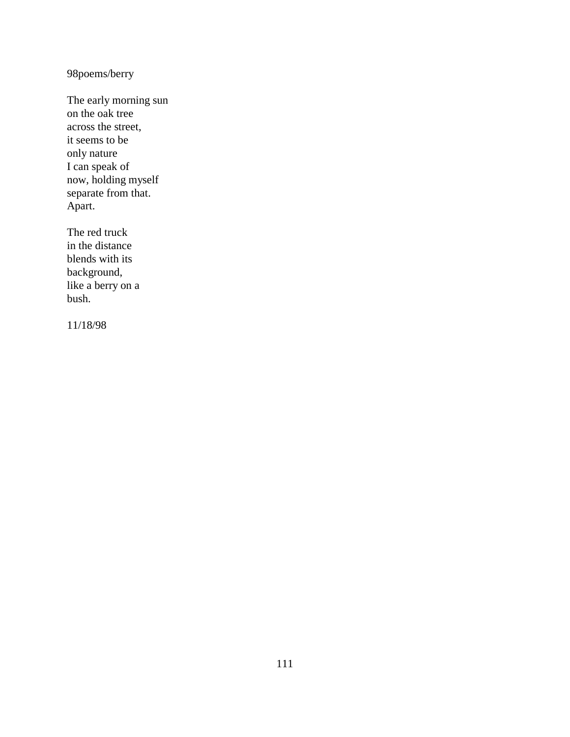98poems/berry

The early morning sun on the oak tree across the street, it seems to be only nature I can speak of now, holding myself separate from that. Apart.

The red truck in the distance blends with its background, like a berry on a bush.

11/18/98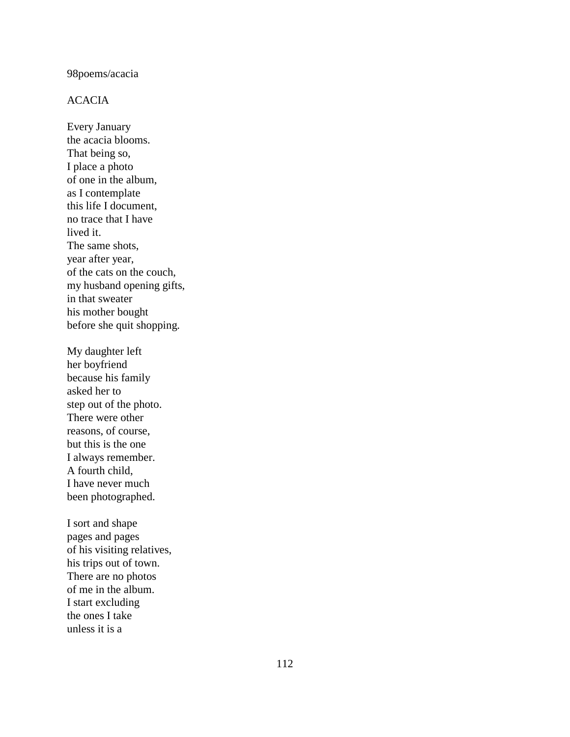# 98poems/acacia

# ACACIA

Every January the acacia blooms. That being so, I place a photo of one in the album, as I contemplate this life I document, no trace that I have lived it. The same shots, year after year, of the cats on the couch, my husband opening gifts, in that sweater his mother bought before she quit shopping.

My daughter left her boyfriend because his family asked her to step out of the photo. There were other reasons, of course, but this is the one I always remember. A fourth child, I have never much been photographed.

I sort and shape pages and pages of his visiting relatives, his trips out of town. There are no photos of me in the album. I start excluding the ones I take unless it is a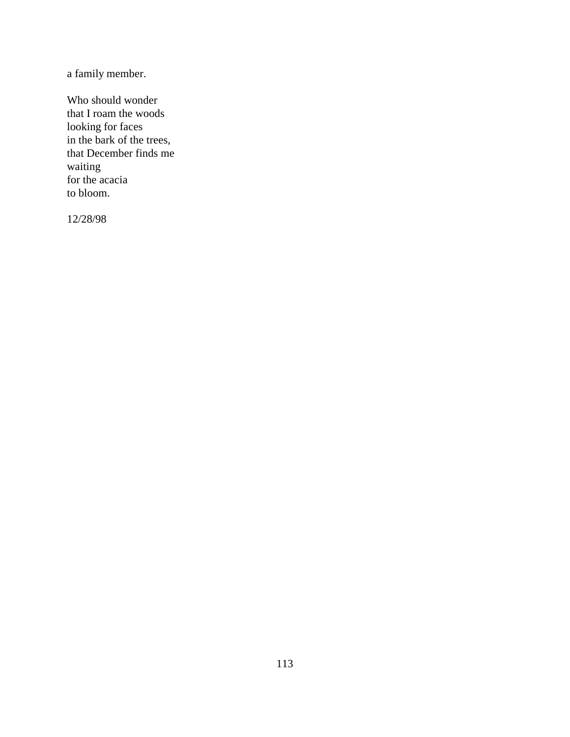a family member.

Who should wonder that I roam the woods looking for faces in the bark of the trees, that December finds me waiting for the acacia to bloom.

12/28/98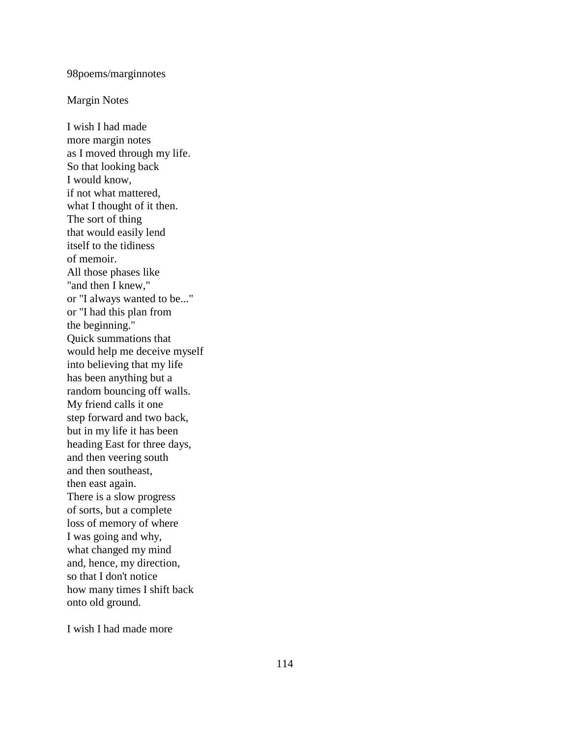### 98poems/marginnotes

#### Margin Notes

I wish I had made more margin notes as I moved through my life. So that looking back I would know, if not what mattered, what I thought of it then. The sort of thing that would easily lend itself to the tidiness of memoir. All those phases like "and then I knew," or "I always wanted to be..." or "I had this plan from the beginning." Quick summations that would help me deceive myself into believing that my life has been anything but a random bouncing off walls. My friend calls it one step forward and two back, but in my life it has been heading East for three days, and then veering south and then southeast, then east again. There is a slow progress of sorts, but a complete loss of memory of where I was going and why, what changed my mind and, hence, my direction, so that I don't notice how many times I shift back onto old ground.

I wish I had made more